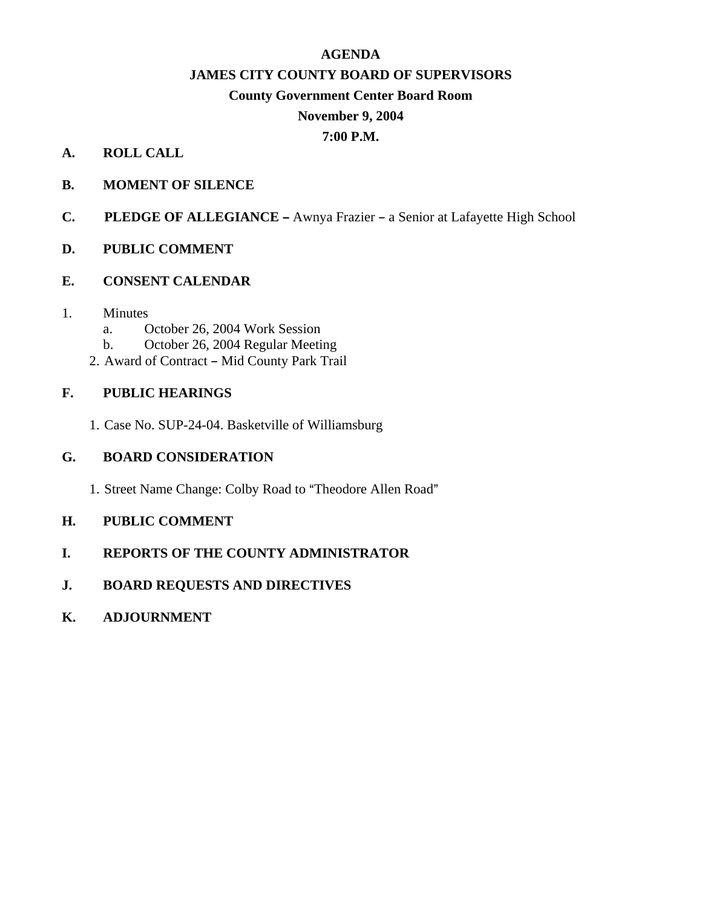# **AGENDA**

# **JAMES CITY COUNTY BOARD OF SUPERVISORS**

# **County Government Center Board Room**

# **November 9, 2004**

# **7:00 P.M.**

# **A. ROLL CALL**

- **B. MOMENT OF SILENCE**
- **C.** PLEDGE OF ALLEGIANCE Awnya Frazier a Senior at Lafayette High School

# **D. PUBLIC COMMENT**

# **E. CONSENT CALENDAR**

# 1. Minutes

- a. October 26, 2004 Work Session
- b. October 26, 2004 Regular Meeting
- 2. Award of Contract Mid County Park Trail

# **F. PUBLIC HEARINGS**

1. Case No. SUP-24-04. Basketville of Williamsburg

# **G. BOARD CONSIDERATION**

1. Street Name Change: Colby Road to "Theodore Allen Road"

# **H. PUBLIC COMMENT**

**I. REPORTS OF THE COUNTY ADMINISTRATOR**

# **J. BOARD REQUESTS AND DIRECTIVES**

**K. ADJOURNMENT**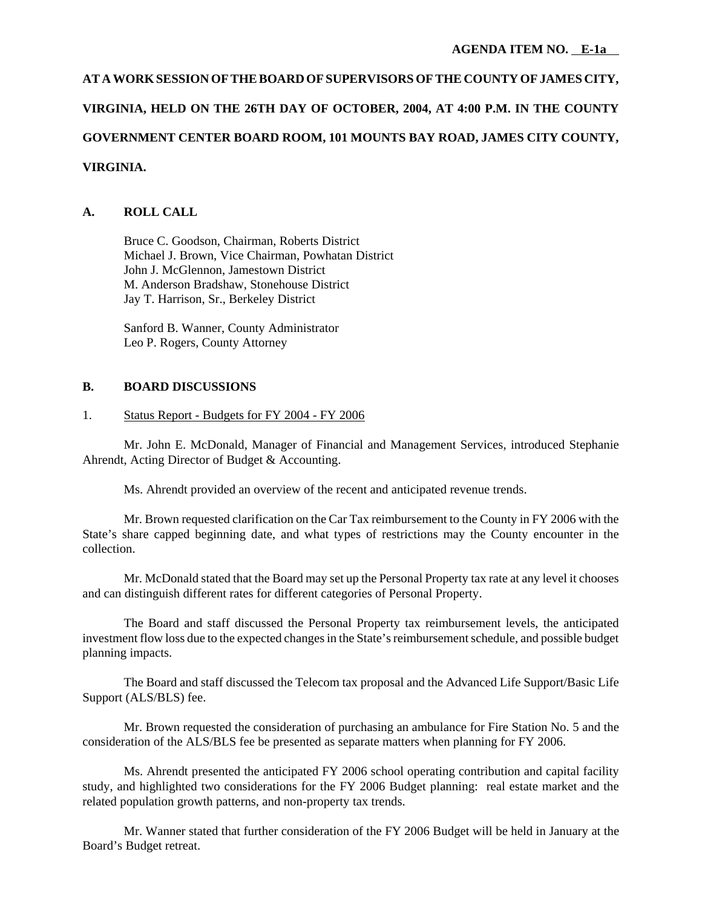# **AT A WORK SESSION OF THE BOARD OF SUPERVISORS OF THE COUNTY OF JAMES CITY, VIRGINIA, HELD ON THE 26TH DAY OF OCTOBER, 2004, AT 4:00 P.M. IN THE COUNTY GOVERNMENT CENTER BOARD ROOM, 101 MOUNTS BAY ROAD, JAMES CITY COUNTY, VIRGINIA.**

# **A. ROLL CALL**

Bruce C. Goodson, Chairman, Roberts District Michael J. Brown, Vice Chairman, Powhatan District John J. McGlennon, Jamestown District M. Anderson Bradshaw, Stonehouse District Jay T. Harrison, Sr., Berkeley District

Sanford B. Wanner, County Administrator Leo P. Rogers, County Attorney

#### **B. BOARD DISCUSSIONS**

#### 1. Status Report - Budgets for FY 2004 - FY 2006

Mr. John E. McDonald, Manager of Financial and Management Services, introduced Stephanie Ahrendt, Acting Director of Budget & Accounting.

Ms. Ahrendt provided an overview of the recent and anticipated revenue trends.

Mr. Brown requested clarification on the Car Tax reimbursement to the County in FY 2006 with the State's share capped beginning date, and what types of restrictions may the County encounter in the collection.

Mr. McDonald stated that the Board may set up the Personal Property tax rate at any level it chooses and can distinguish different rates for different categories of Personal Property.

The Board and staff discussed the Personal Property tax reimbursement levels, the anticipated investment flow loss due to the expected changes in the State's reimbursement schedule, and possible budget planning impacts.

The Board and staff discussed the Telecom tax proposal and the Advanced Life Support/Basic Life Support (ALS/BLS) fee.

Mr. Brown requested the consideration of purchasing an ambulance for Fire Station No. 5 and the consideration of the ALS/BLS fee be presented as separate matters when planning for FY 2006.

Ms. Ahrendt presented the anticipated FY 2006 school operating contribution and capital facility study, and highlighted two considerations for the FY 2006 Budget planning: real estate market and the related population growth patterns, and non-property tax trends.

Mr. Wanner stated that further consideration of the FY 2006 Budget will be held in January at the Board's Budget retreat.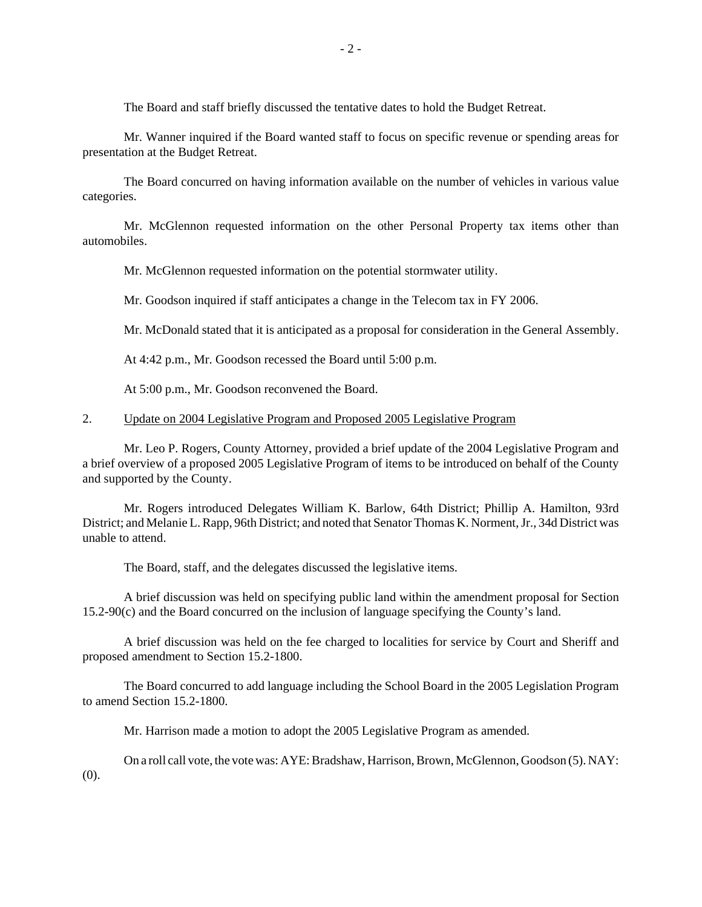The Board and staff briefly discussed the tentative dates to hold the Budget Retreat.

Mr. Wanner inquired if the Board wanted staff to focus on specific revenue or spending areas for presentation at the Budget Retreat.

The Board concurred on having information available on the number of vehicles in various value categories.

Mr. McGlennon requested information on the other Personal Property tax items other than automobiles.

Mr. McGlennon requested information on the potential stormwater utility.

Mr. Goodson inquired if staff anticipates a change in the Telecom tax in FY 2006.

Mr. McDonald stated that it is anticipated as a proposal for consideration in the General Assembly.

At 4:42 p.m., Mr. Goodson recessed the Board until 5:00 p.m.

At 5:00 p.m., Mr. Goodson reconvened the Board.

#### 2. Update on 2004 Legislative Program and Proposed 2005 Legislative Program

Mr. Leo P. Rogers, County Attorney, provided a brief update of the 2004 Legislative Program and a brief overview of a proposed 2005 Legislative Program of items to be introduced on behalf of the County and supported by the County.

Mr. Rogers introduced Delegates William K. Barlow, 64th District; Phillip A. Hamilton, 93rd District; and Melanie L. Rapp, 96th District; and noted that Senator Thomas K. Norment, Jr., 34d District was unable to attend.

The Board, staff, and the delegates discussed the legislative items.

A brief discussion was held on specifying public land within the amendment proposal for Section 15.2-90(c) and the Board concurred on the inclusion of language specifying the County's land.

A brief discussion was held on the fee charged to localities for service by Court and Sheriff and proposed amendment to Section 15.2-1800.

The Board concurred to add language including the School Board in the 2005 Legislation Program to amend Section 15.2-1800.

Mr. Harrison made a motion to adopt the 2005 Legislative Program as amended.

On a roll call vote, the vote was: AYE: Bradshaw, Harrison, Brown, McGlennon, Goodson (5). NAY: (0).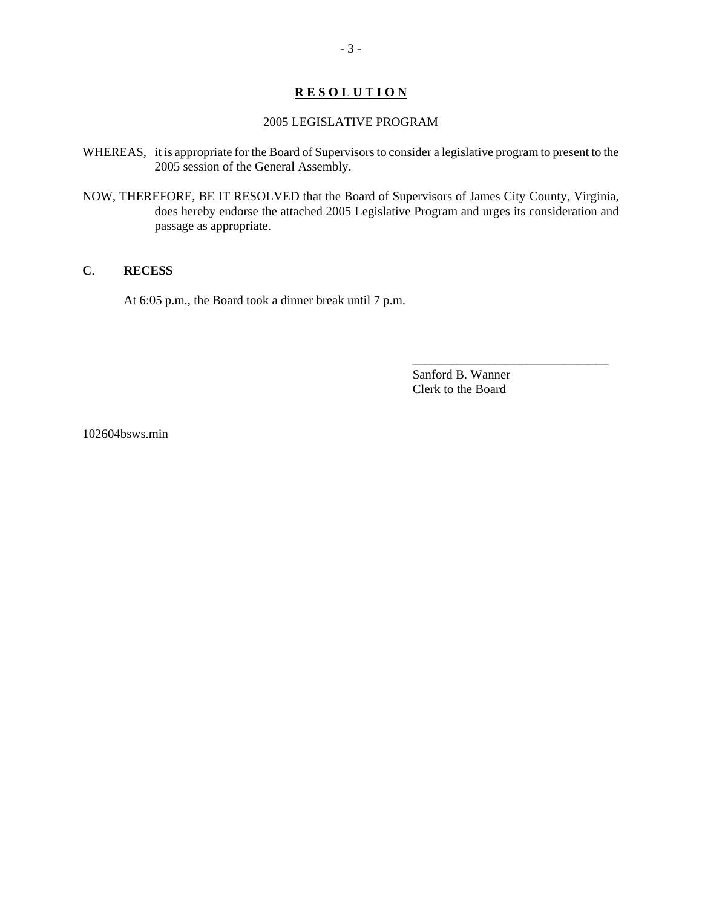## **R E S O L U T I O N**

#### 2005 LEGISLATIVE PROGRAM

- WHEREAS, it is appropriate for the Board of Supervisors to consider a legislative program to present to the 2005 session of the General Assembly.
- NOW, THEREFORE, BE IT RESOLVED that the Board of Supervisors of James City County, Virginia, does hereby endorse the attached 2005 Legislative Program and urges its consideration and passage as appropriate.

#### **C**. **RECESS**

At 6:05 p.m., the Board took a dinner break until 7 p.m.

Sanford B. Wanner Clerk to the Board

\_\_\_\_\_\_\_\_\_\_\_\_\_\_\_\_\_\_\_\_\_\_\_\_\_\_\_\_\_\_\_

102604bsws.min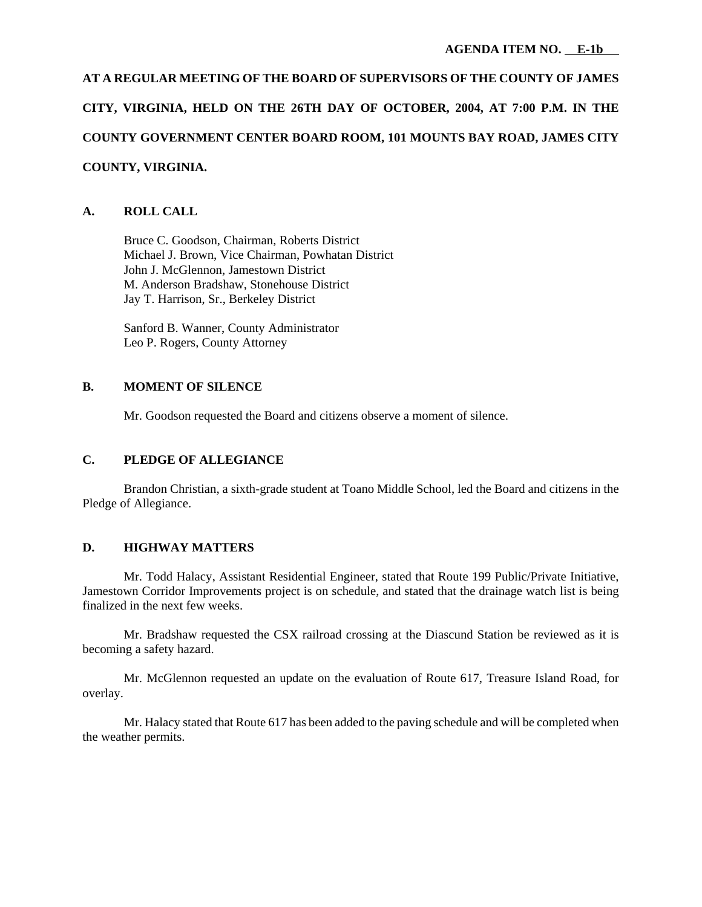# **AT A REGULAR MEETING OF THE BOARD OF SUPERVISORS OF THE COUNTY OF JAMES CITY, VIRGINIA, HELD ON THE 26TH DAY OF OCTOBER, 2004, AT 7:00 P.M. IN THE COUNTY GOVERNMENT CENTER BOARD ROOM, 101 MOUNTS BAY ROAD, JAMES CITY COUNTY, VIRGINIA.**

# **A. ROLL CALL**

Bruce C. Goodson, Chairman, Roberts District Michael J. Brown, Vice Chairman, Powhatan District John J. McGlennon, Jamestown District M. Anderson Bradshaw, Stonehouse District Jay T. Harrison, Sr., Berkeley District

Sanford B. Wanner, County Administrator Leo P. Rogers, County Attorney

# **B. MOMENT OF SILENCE**

Mr. Goodson requested the Board and citizens observe a moment of silence.

# **C. PLEDGE OF ALLEGIANCE**

Brandon Christian, a sixth-grade student at Toano Middle School, led the Board and citizens in the Pledge of Allegiance.

# **D. HIGHWAY MATTERS**

Mr. Todd Halacy, Assistant Residential Engineer, stated that Route 199 Public/Private Initiative, Jamestown Corridor Improvements project is on schedule, and stated that the drainage watch list is being finalized in the next few weeks.

Mr. Bradshaw requested the CSX railroad crossing at the Diascund Station be reviewed as it is becoming a safety hazard.

Mr. McGlennon requested an update on the evaluation of Route 617, Treasure Island Road, for overlay.

Mr. Halacy stated that Route 617 has been added to the paving schedule and will be completed when the weather permits.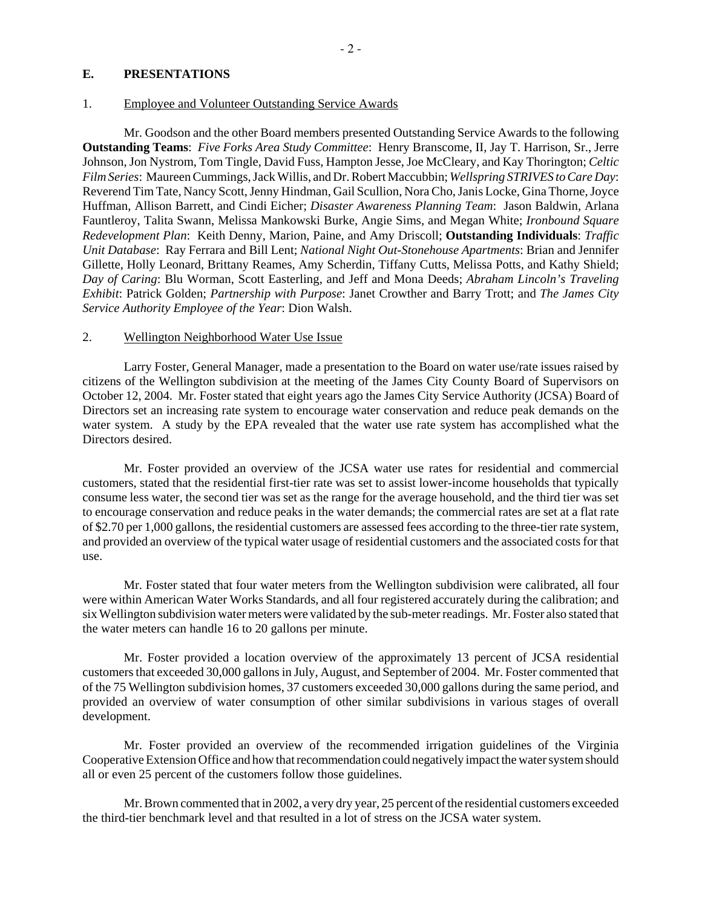#### **E. PRESENTATIONS**

#### 1. Employee and Volunteer Outstanding Service Awards

Mr. Goodson and the other Board members presented Outstanding Service Awards to the following **Outstanding Teams**: *Five Forks Area Study Committee*: Henry Branscome, II, Jay T. Harrison, Sr., Jerre Johnson, Jon Nystrom, Tom Tingle, David Fuss, Hampton Jesse, Joe McCleary, and Kay Thorington; *Celtic Film Series*: Maureen Cummings, Jack Willis, and Dr. Robert Maccubbin; *Wellspring STRIVES to Care Day*: Reverend Tim Tate, Nancy Scott, Jenny Hindman, Gail Scullion, Nora Cho, Janis Locke, Gina Thorne, Joyce Huffman, Allison Barrett, and Cindi Eicher; *Disaster Awareness Planning Team*: Jason Baldwin, Arlana Fauntleroy, Talita Swann, Melissa Mankowski Burke, Angie Sims, and Megan White; *Ironbound Square Redevelopment Plan*: Keith Denny, Marion, Paine, and Amy Driscoll; **Outstanding Individuals**: *Traffic Unit Database*: Ray Ferrara and Bill Lent; *National Night Out-Stonehouse Apartments*: Brian and Jennifer Gillette, Holly Leonard, Brittany Reames, Amy Scherdin, Tiffany Cutts, Melissa Potts, and Kathy Shield; *Day of Caring*: Blu Worman, Scott Easterling, and Jeff and Mona Deeds; *Abraham Lincoln's Traveling Exhibit*: Patrick Golden; *Partnership with Purpose*: Janet Crowther and Barry Trott; and *The James City Service Authority Employee of the Year*: Dion Walsh.

#### 2. Wellington Neighborhood Water Use Issue

Larry Foster, General Manager, made a presentation to the Board on water use/rate issues raised by citizens of the Wellington subdivision at the meeting of the James City County Board of Supervisors on October 12, 2004. Mr. Foster stated that eight years ago the James City Service Authority (JCSA) Board of Directors set an increasing rate system to encourage water conservation and reduce peak demands on the water system. A study by the EPA revealed that the water use rate system has accomplished what the Directors desired.

Mr. Foster provided an overview of the JCSA water use rates for residential and commercial customers, stated that the residential first-tier rate was set to assist lower-income households that typically consume less water, the second tier was set as the range for the average household, and the third tier was set to encourage conservation and reduce peaks in the water demands; the commercial rates are set at a flat rate of \$2.70 per 1,000 gallons, the residential customers are assessed fees according to the three-tier rate system, and provided an overview of the typical water usage of residential customers and the associated costs for that use.

Mr. Foster stated that four water meters from the Wellington subdivision were calibrated, all four were within American Water Works Standards, and all four registered accurately during the calibration; and six Wellington subdivision water meters were validated by the sub-meter readings. Mr. Foster also stated that the water meters can handle 16 to 20 gallons per minute.

Mr. Foster provided a location overview of the approximately 13 percent of JCSA residential customers that exceeded 30,000 gallons in July, August, and September of 2004. Mr. Foster commented that of the 75 Wellington subdivision homes, 37 customers exceeded 30,000 gallons during the same period, and provided an overview of water consumption of other similar subdivisions in various stages of overall development.

Mr. Foster provided an overview of the recommended irrigation guidelines of the Virginia Cooperative Extension Office and how that recommendation could negatively impact the water system should all or even 25 percent of the customers follow those guidelines.

Mr. Brown commented that in 2002, a very dry year, 25 percent of the residential customers exceeded the third-tier benchmark level and that resulted in a lot of stress on the JCSA water system.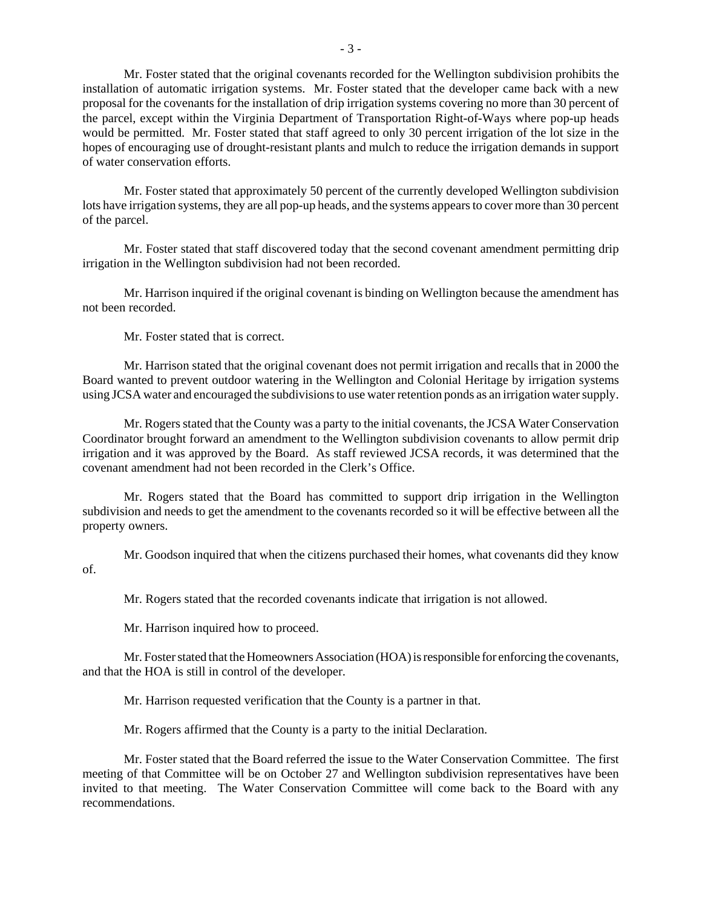Mr. Foster stated that the original covenants recorded for the Wellington subdivision prohibits the installation of automatic irrigation systems. Mr. Foster stated that the developer came back with a new proposal for the covenants for the installation of drip irrigation systems covering no more than 30 percent of the parcel, except within the Virginia Department of Transportation Right-of-Ways where pop-up heads would be permitted. Mr. Foster stated that staff agreed to only 30 percent irrigation of the lot size in the hopes of encouraging use of drought-resistant plants and mulch to reduce the irrigation demands in support of water conservation efforts.

Mr. Foster stated that approximately 50 percent of the currently developed Wellington subdivision lots have irrigation systems, they are all pop-up heads, and the systems appears to cover more than 30 percent of the parcel.

Mr. Foster stated that staff discovered today that the second covenant amendment permitting drip irrigation in the Wellington subdivision had not been recorded.

Mr. Harrison inquired if the original covenant is binding on Wellington because the amendment has not been recorded.

Mr. Foster stated that is correct.

Mr. Harrison stated that the original covenant does not permit irrigation and recalls that in 2000 the Board wanted to prevent outdoor watering in the Wellington and Colonial Heritage by irrigation systems using JCSA water and encouraged the subdivisions to use water retention ponds as an irrigation water supply.

Mr. Rogers stated that the County was a party to the initial covenants, the JCSA Water Conservation Coordinator brought forward an amendment to the Wellington subdivision covenants to allow permit drip irrigation and it was approved by the Board. As staff reviewed JCSA records, it was determined that the covenant amendment had not been recorded in the Clerk's Office.

Mr. Rogers stated that the Board has committed to support drip irrigation in the Wellington subdivision and needs to get the amendment to the covenants recorded so it will be effective between all the property owners.

Mr. Goodson inquired that when the citizens purchased their homes, what covenants did they know of.

Mr. Rogers stated that the recorded covenants indicate that irrigation is not allowed.

Mr. Harrison inquired how to proceed.

Mr. Foster stated that the Homeowners Association (HOA) is responsible for enforcing the covenants, and that the HOA is still in control of the developer.

Mr. Harrison requested verification that the County is a partner in that.

Mr. Rogers affirmed that the County is a party to the initial Declaration.

Mr. Foster stated that the Board referred the issue to the Water Conservation Committee. The first meeting of that Committee will be on October 27 and Wellington subdivision representatives have been invited to that meeting. The Water Conservation Committee will come back to the Board with any recommendations.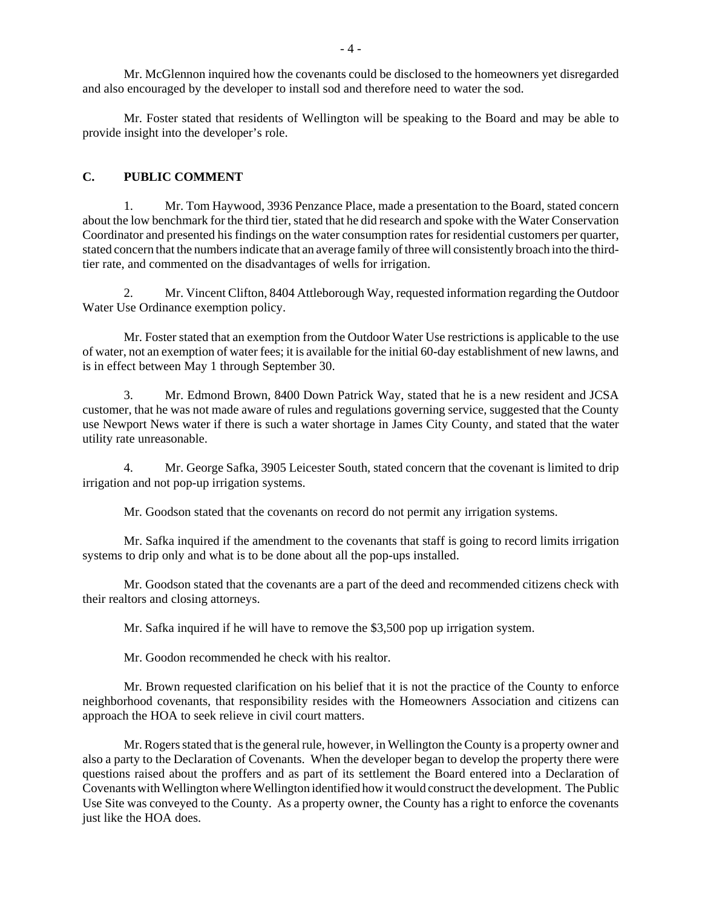Mr. McGlennon inquired how the covenants could be disclosed to the homeowners yet disregarded and also encouraged by the developer to install sod and therefore need to water the sod.

Mr. Foster stated that residents of Wellington will be speaking to the Board and may be able to provide insight into the developer's role.

#### **C. PUBLIC COMMENT**

1. Mr. Tom Haywood, 3936 Penzance Place, made a presentation to the Board, stated concern about the low benchmark for the third tier, stated that he did research and spoke with the Water Conservation Coordinator and presented his findings on the water consumption rates for residential customers per quarter, stated concern that the numbers indicate that an average family of three will consistently broach into the thirdtier rate, and commented on the disadvantages of wells for irrigation.

2. Mr. Vincent Clifton, 8404 Attleborough Way, requested information regarding the Outdoor Water Use Ordinance exemption policy.

Mr. Foster stated that an exemption from the Outdoor Water Use restrictions is applicable to the use of water, not an exemption of water fees; it is available for the initial 60-day establishment of new lawns, and is in effect between May 1 through September 30.

3. Mr. Edmond Brown, 8400 Down Patrick Way, stated that he is a new resident and JCSA customer, that he was not made aware of rules and regulations governing service, suggested that the County use Newport News water if there is such a water shortage in James City County, and stated that the water utility rate unreasonable.

4. Mr. George Safka, 3905 Leicester South, stated concern that the covenant is limited to drip irrigation and not pop-up irrigation systems.

Mr. Goodson stated that the covenants on record do not permit any irrigation systems.

Mr. Safka inquired if the amendment to the covenants that staff is going to record limits irrigation systems to drip only and what is to be done about all the pop-ups installed.

Mr. Goodson stated that the covenants are a part of the deed and recommended citizens check with their realtors and closing attorneys.

Mr. Safka inquired if he will have to remove the \$3,500 pop up irrigation system.

Mr. Goodon recommended he check with his realtor.

Mr. Brown requested clarification on his belief that it is not the practice of the County to enforce neighborhood covenants, that responsibility resides with the Homeowners Association and citizens can approach the HOA to seek relieve in civil court matters.

Mr. Rogers stated that is the general rule, however, in Wellington the County is a property owner and also a party to the Declaration of Covenants. When the developer began to develop the property there were questions raised about the proffers and as part of its settlement the Board entered into a Declaration of Covenants with Wellington where Wellington identified how it would construct the development. The Public Use Site was conveyed to the County. As a property owner, the County has a right to enforce the covenants just like the HOA does.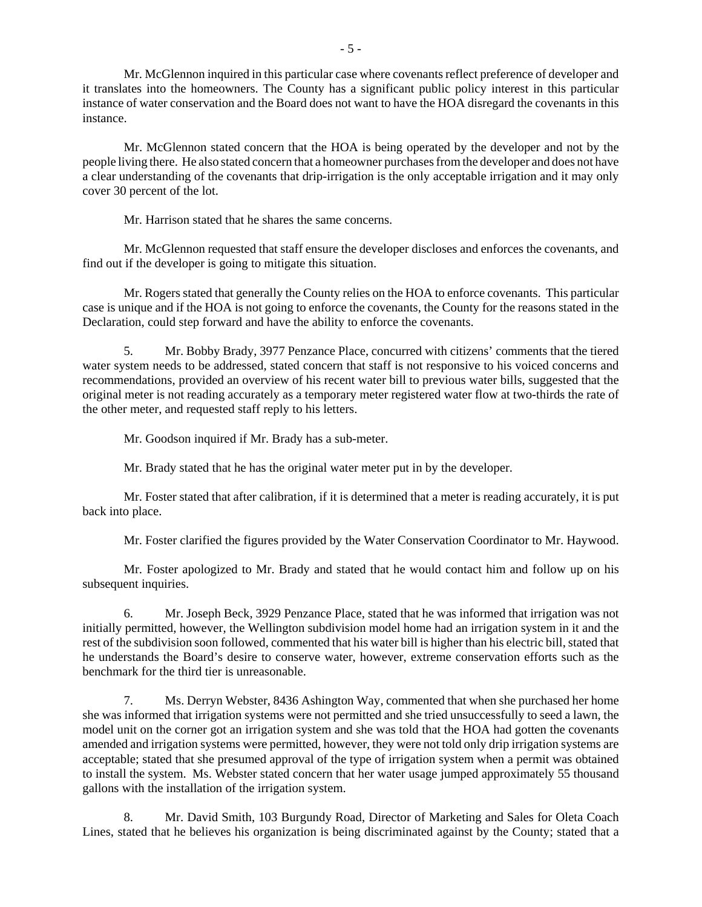Mr. McGlennon inquired in this particular case where covenants reflect preference of developer and it translates into the homeowners. The County has a significant public policy interest in this particular instance of water conservation and the Board does not want to have the HOA disregard the covenants in this instance.

Mr. McGlennon stated concern that the HOA is being operated by the developer and not by the people living there. He also stated concern that a homeowner purchases from the developer and does not have a clear understanding of the covenants that drip-irrigation is the only acceptable irrigation and it may only cover 30 percent of the lot.

Mr. Harrison stated that he shares the same concerns.

Mr. McGlennon requested that staff ensure the developer discloses and enforces the covenants, and find out if the developer is going to mitigate this situation.

Mr. Rogers stated that generally the County relies on the HOA to enforce covenants. This particular case is unique and if the HOA is not going to enforce the covenants, the County for the reasons stated in the Declaration, could step forward and have the ability to enforce the covenants.

5. Mr. Bobby Brady, 3977 Penzance Place, concurred with citizens' comments that the tiered water system needs to be addressed, stated concern that staff is not responsive to his voiced concerns and recommendations, provided an overview of his recent water bill to previous water bills, suggested that the original meter is not reading accurately as a temporary meter registered water flow at two-thirds the rate of the other meter, and requested staff reply to his letters.

Mr. Goodson inquired if Mr. Brady has a sub-meter.

Mr. Brady stated that he has the original water meter put in by the developer.

Mr. Foster stated that after calibration, if it is determined that a meter is reading accurately, it is put back into place.

Mr. Foster clarified the figures provided by the Water Conservation Coordinator to Mr. Haywood.

Mr. Foster apologized to Mr. Brady and stated that he would contact him and follow up on his subsequent inquiries.

6. Mr. Joseph Beck, 3929 Penzance Place, stated that he was informed that irrigation was not initially permitted, however, the Wellington subdivision model home had an irrigation system in it and the rest of the subdivision soon followed, commented that his water bill is higher than his electric bill, stated that he understands the Board's desire to conserve water, however, extreme conservation efforts such as the benchmark for the third tier is unreasonable.

7. Ms. Derryn Webster, 8436 Ashington Way, commented that when she purchased her home she was informed that irrigation systems were not permitted and she tried unsuccessfully to seed a lawn, the model unit on the corner got an irrigation system and she was told that the HOA had gotten the covenants amended and irrigation systems were permitted, however, they were not told only drip irrigation systems are acceptable; stated that she presumed approval of the type of irrigation system when a permit was obtained to install the system. Ms. Webster stated concern that her water usage jumped approximately 55 thousand gallons with the installation of the irrigation system.

8. Mr. David Smith, 103 Burgundy Road, Director of Marketing and Sales for Oleta Coach Lines, stated that he believes his organization is being discriminated against by the County; stated that a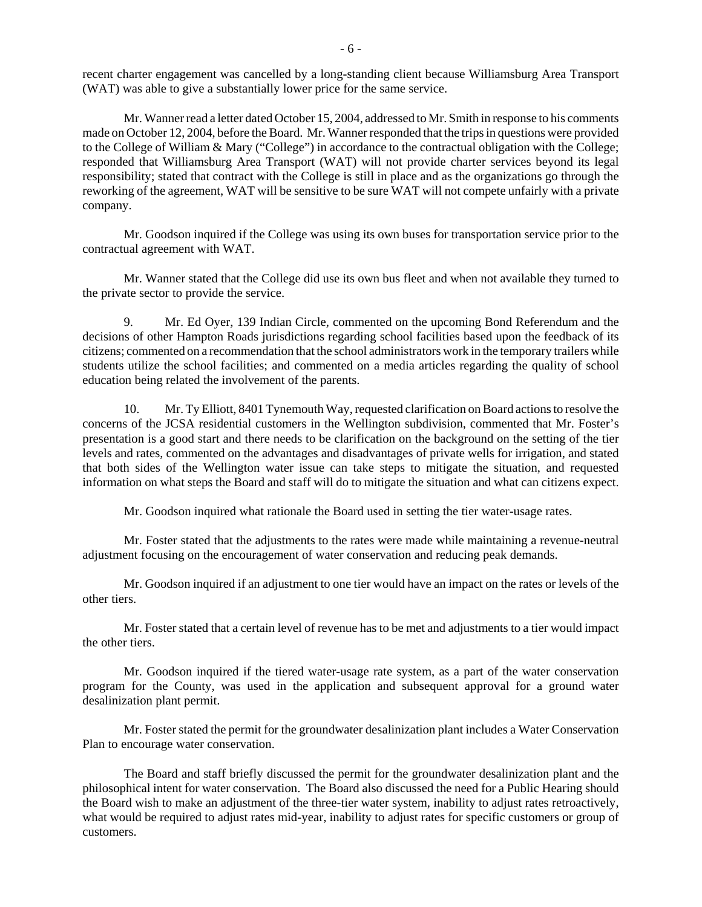recent charter engagement was cancelled by a long-standing client because Williamsburg Area Transport (WAT) was able to give a substantially lower price for the same service.

Mr. Wanner read a letter dated October 15, 2004, addressed to Mr. Smith in response to his comments made on October 12, 2004, before the Board. Mr. Wanner responded that the trips in questions were provided to the College of William & Mary ("College") in accordance to the contractual obligation with the College; responded that Williamsburg Area Transport (WAT) will not provide charter services beyond its legal responsibility; stated that contract with the College is still in place and as the organizations go through the reworking of the agreement, WAT will be sensitive to be sure WAT will not compete unfairly with a private company.

Mr. Goodson inquired if the College was using its own buses for transportation service prior to the contractual agreement with WAT.

Mr. Wanner stated that the College did use its own bus fleet and when not available they turned to the private sector to provide the service.

9. Mr. Ed Oyer, 139 Indian Circle, commented on the upcoming Bond Referendum and the decisions of other Hampton Roads jurisdictions regarding school facilities based upon the feedback of its citizens; commented on a recommendation that the school administrators work in the temporary trailers while students utilize the school facilities; and commented on a media articles regarding the quality of school education being related the involvement of the parents.

10. Mr. Ty Elliott, 8401 Tynemouth Way, requested clarification on Board actions to resolve the concerns of the JCSA residential customers in the Wellington subdivision, commented that Mr. Foster's presentation is a good start and there needs to be clarification on the background on the setting of the tier levels and rates, commented on the advantages and disadvantages of private wells for irrigation, and stated that both sides of the Wellington water issue can take steps to mitigate the situation, and requested information on what steps the Board and staff will do to mitigate the situation and what can citizens expect.

Mr. Goodson inquired what rationale the Board used in setting the tier water-usage rates.

Mr. Foster stated that the adjustments to the rates were made while maintaining a revenue-neutral adjustment focusing on the encouragement of water conservation and reducing peak demands.

Mr. Goodson inquired if an adjustment to one tier would have an impact on the rates or levels of the other tiers.

Mr. Foster stated that a certain level of revenue has to be met and adjustments to a tier would impact the other tiers.

Mr. Goodson inquired if the tiered water-usage rate system, as a part of the water conservation program for the County, was used in the application and subsequent approval for a ground water desalinization plant permit.

Mr. Foster stated the permit for the groundwater desalinization plant includes a Water Conservation Plan to encourage water conservation.

The Board and staff briefly discussed the permit for the groundwater desalinization plant and the philosophical intent for water conservation. The Board also discussed the need for a Public Hearing should the Board wish to make an adjustment of the three-tier water system, inability to adjust rates retroactively, what would be required to adjust rates mid-year, inability to adjust rates for specific customers or group of customers.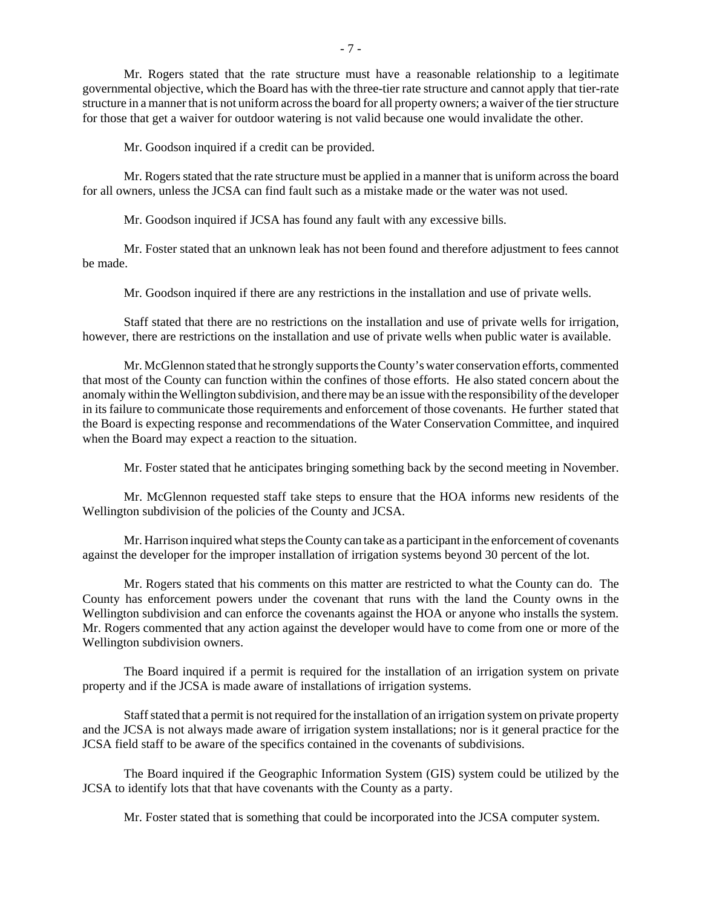Mr. Rogers stated that the rate structure must have a reasonable relationship to a legitimate governmental objective, which the Board has with the three-tier rate structure and cannot apply that tier-rate structure in a manner that is not uniform across the board for all property owners; a waiver of the tier structure for those that get a waiver for outdoor watering is not valid because one would invalidate the other.

Mr. Goodson inquired if a credit can be provided.

Mr. Rogers stated that the rate structure must be applied in a manner that is uniform across the board for all owners, unless the JCSA can find fault such as a mistake made or the water was not used.

Mr. Goodson inquired if JCSA has found any fault with any excessive bills.

Mr. Foster stated that an unknown leak has not been found and therefore adjustment to fees cannot be made.

Mr. Goodson inquired if there are any restrictions in the installation and use of private wells.

Staff stated that there are no restrictions on the installation and use of private wells for irrigation, however, there are restrictions on the installation and use of private wells when public water is available.

Mr. McGlennon stated that he strongly supports the County's water conservation efforts, commented that most of the County can function within the confines of those efforts. He also stated concern about the anomaly within the Wellington subdivision, and there may be an issue with the responsibility of the developer in its failure to communicate those requirements and enforcement of those covenants. He further stated that the Board is expecting response and recommendations of the Water Conservation Committee, and inquired when the Board may expect a reaction to the situation.

Mr. Foster stated that he anticipates bringing something back by the second meeting in November.

Mr. McGlennon requested staff take steps to ensure that the HOA informs new residents of the Wellington subdivision of the policies of the County and JCSA.

Mr. Harrison inquired what steps the County can take as a participant in the enforcement of covenants against the developer for the improper installation of irrigation systems beyond 30 percent of the lot.

Mr. Rogers stated that his comments on this matter are restricted to what the County can do. The County has enforcement powers under the covenant that runs with the land the County owns in the Wellington subdivision and can enforce the covenants against the HOA or anyone who installs the system. Mr. Rogers commented that any action against the developer would have to come from one or more of the Wellington subdivision owners.

The Board inquired if a permit is required for the installation of an irrigation system on private property and if the JCSA is made aware of installations of irrigation systems.

Staff stated that a permit is not required for the installation of an irrigation system on private property and the JCSA is not always made aware of irrigation system installations; nor is it general practice for the JCSA field staff to be aware of the specifics contained in the covenants of subdivisions.

The Board inquired if the Geographic Information System (GIS) system could be utilized by the JCSA to identify lots that that have covenants with the County as a party.

Mr. Foster stated that is something that could be incorporated into the JCSA computer system.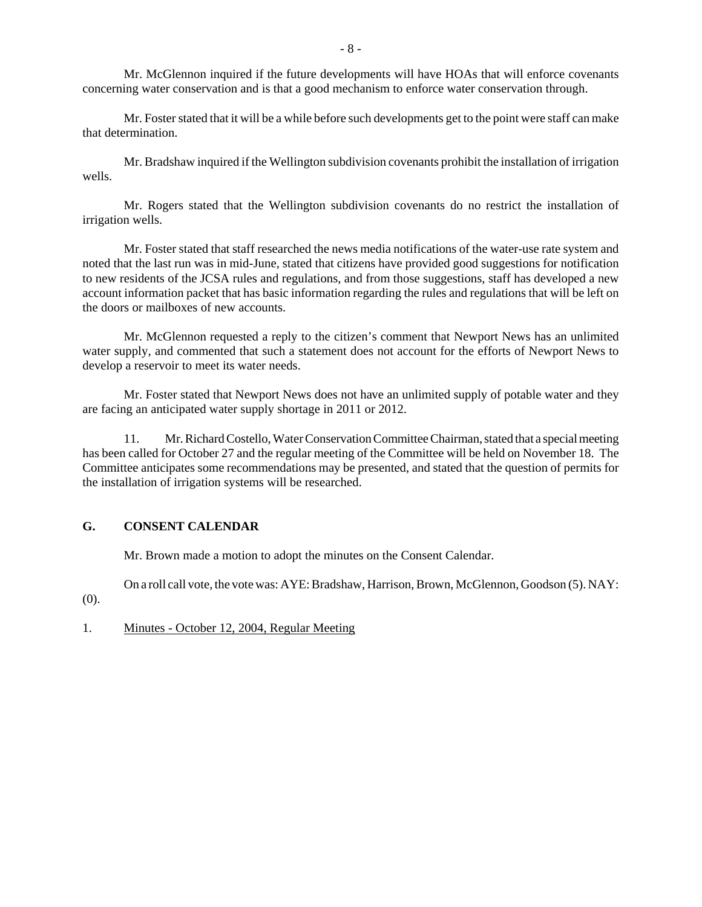Mr. McGlennon inquired if the future developments will have HOAs that will enforce covenants concerning water conservation and is that a good mechanism to enforce water conservation through.

Mr. Foster stated that it will be a while before such developments get to the point were staff can make that determination.

Mr. Bradshaw inquired if the Wellington subdivision covenants prohibit the installation of irrigation wells.

Mr. Rogers stated that the Wellington subdivision covenants do no restrict the installation of irrigation wells.

Mr. Foster stated that staff researched the news media notifications of the water-use rate system and noted that the last run was in mid-June, stated that citizens have provided good suggestions for notification to new residents of the JCSA rules and regulations, and from those suggestions, staff has developed a new account information packet that has basic information regarding the rules and regulations that will be left on the doors or mailboxes of new accounts.

Mr. McGlennon requested a reply to the citizen's comment that Newport News has an unlimited water supply, and commented that such a statement does not account for the efforts of Newport News to develop a reservoir to meet its water needs.

Mr. Foster stated that Newport News does not have an unlimited supply of potable water and they are facing an anticipated water supply shortage in 2011 or 2012.

11. Mr. Richard Costello, Water Conservation Committee Chairman, stated that a special meeting has been called for October 27 and the regular meeting of the Committee will be held on November 18. The Committee anticipates some recommendations may be presented, and stated that the question of permits for the installation of irrigation systems will be researched.

# **G. CONSENT CALENDAR**

Mr. Brown made a motion to adopt the minutes on the Consent Calendar.

On a roll call vote, the vote was: AYE: Bradshaw, Harrison, Brown, McGlennon, Goodson (5). NAY: (0).

1. Minutes - October 12, 2004, Regular Meeting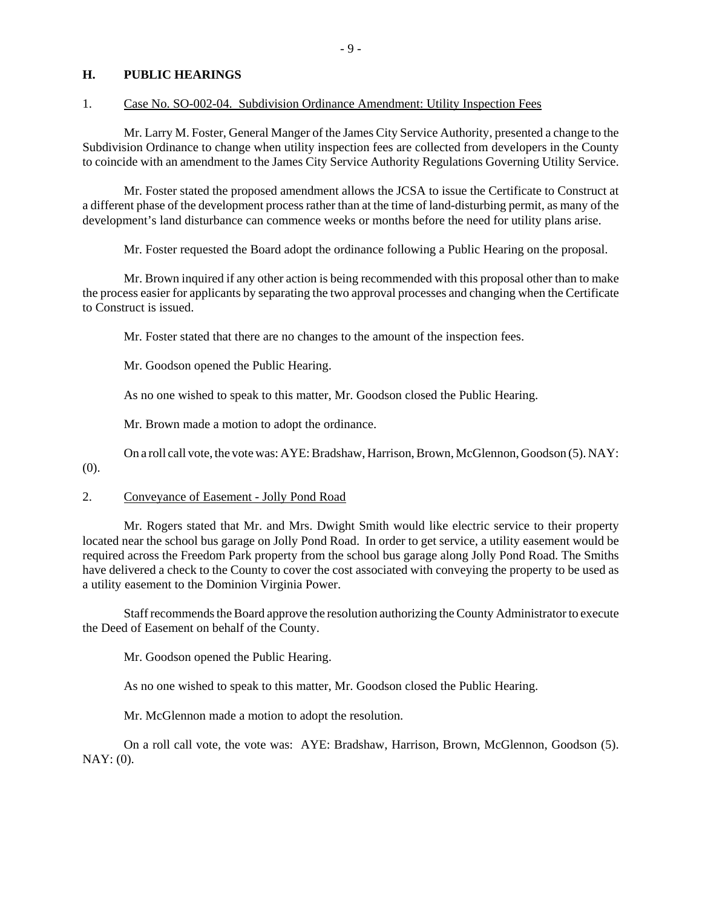#### **H. PUBLIC HEARINGS**

#### 1. Case No. SO-002-04. Subdivision Ordinance Amendment: Utility Inspection Fees

Mr. Larry M. Foster, General Manger of the James City Service Authority, presented a change to the Subdivision Ordinance to change when utility inspection fees are collected from developers in the County to coincide with an amendment to the James City Service Authority Regulations Governing Utility Service.

Mr. Foster stated the proposed amendment allows the JCSA to issue the Certificate to Construct at a different phase of the development process rather than at the time of land-disturbing permit, as many of the development's land disturbance can commence weeks or months before the need for utility plans arise.

Mr. Foster requested the Board adopt the ordinance following a Public Hearing on the proposal.

Mr. Brown inquired if any other action is being recommended with this proposal other than to make the process easier for applicants by separating the two approval processes and changing when the Certificate to Construct is issued.

Mr. Foster stated that there are no changes to the amount of the inspection fees.

Mr. Goodson opened the Public Hearing.

As no one wished to speak to this matter, Mr. Goodson closed the Public Hearing.

Mr. Brown made a motion to adopt the ordinance.

On a roll call vote, the vote was: AYE: Bradshaw, Harrison, Brown, McGlennon, Goodson (5). NAY:

(0).

#### 2. Conveyance of Easement - Jolly Pond Road

Mr. Rogers stated that Mr. and Mrs. Dwight Smith would like electric service to their property located near the school bus garage on Jolly Pond Road. In order to get service, a utility easement would be required across the Freedom Park property from the school bus garage along Jolly Pond Road. The Smiths have delivered a check to the County to cover the cost associated with conveying the property to be used as a utility easement to the Dominion Virginia Power.

Staff recommends the Board approve the resolution authorizing the County Administrator to execute the Deed of Easement on behalf of the County.

Mr. Goodson opened the Public Hearing.

As no one wished to speak to this matter, Mr. Goodson closed the Public Hearing.

Mr. McGlennon made a motion to adopt the resolution.

On a roll call vote, the vote was: AYE: Bradshaw, Harrison, Brown, McGlennon, Goodson (5).  $NAY: (0)$ .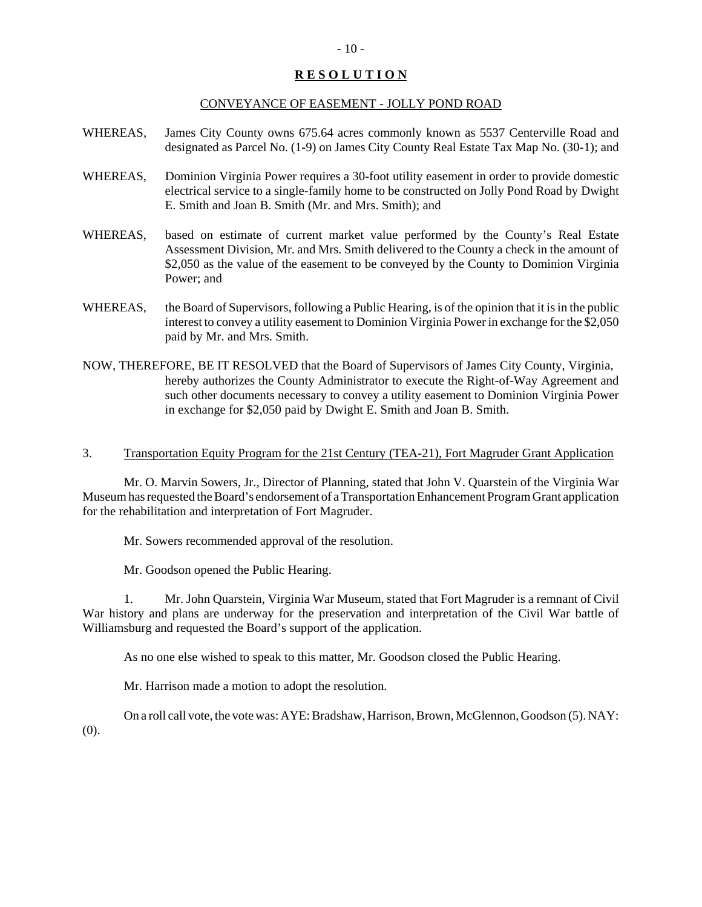# **R E S O L U T I O N**

#### CONVEYANCE OF EASEMENT - JOLLY POND ROAD

- WHEREAS, James City County owns 675.64 acres commonly known as 5537 Centerville Road and designated as Parcel No. (1-9) on James City County Real Estate Tax Map No. (30-1); and
- WHEREAS, Dominion Virginia Power requires a 30-foot utility easement in order to provide domestic electrical service to a single-family home to be constructed on Jolly Pond Road by Dwight E. Smith and Joan B. Smith (Mr. and Mrs. Smith); and
- WHEREAS, based on estimate of current market value performed by the County's Real Estate Assessment Division, Mr. and Mrs. Smith delivered to the County a check in the amount of \$2,050 as the value of the easement to be conveyed by the County to Dominion Virginia Power; and
- WHEREAS, the Board of Supervisors, following a Public Hearing, is of the opinion that it is in the public interest to convey a utility easement to Dominion Virginia Power in exchange for the \$2,050 paid by Mr. and Mrs. Smith.
- NOW, THEREFORE, BE IT RESOLVED that the Board of Supervisors of James City County, Virginia, hereby authorizes the County Administrator to execute the Right-of-Way Agreement and such other documents necessary to convey a utility easement to Dominion Virginia Power in exchange for \$2,050 paid by Dwight E. Smith and Joan B. Smith.
- 3. Transportation Equity Program for the 21st Century (TEA-21), Fort Magruder Grant Application

Mr. O. Marvin Sowers, Jr., Director of Planning, stated that John V. Quarstein of the Virginia War Museum has requested the Board's endorsement of a Transportation Enhancement Program Grant application for the rehabilitation and interpretation of Fort Magruder.

Mr. Sowers recommended approval of the resolution.

Mr. Goodson opened the Public Hearing.

1. Mr. John Quarstein, Virginia War Museum, stated that Fort Magruder is a remnant of Civil War history and plans are underway for the preservation and interpretation of the Civil War battle of Williamsburg and requested the Board's support of the application.

As no one else wished to speak to this matter, Mr. Goodson closed the Public Hearing.

Mr. Harrison made a motion to adopt the resolution.

On a roll call vote, the vote was: AYE: Bradshaw, Harrison, Brown, McGlennon, Goodson (5). NAY: (0).

#### $-10-$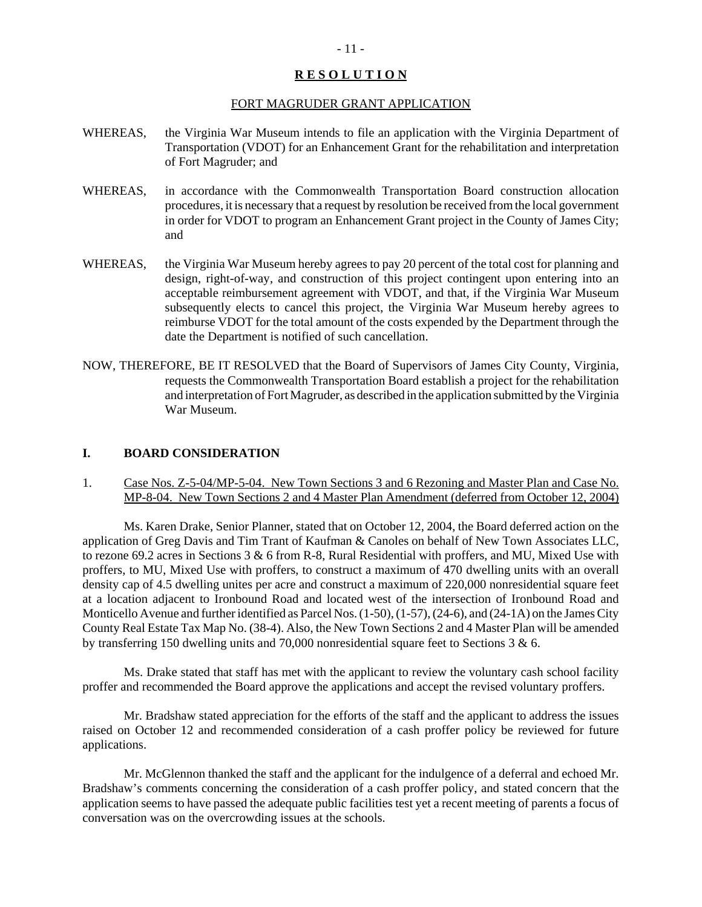#### **R E S O L U T I O N**

#### FORT MAGRUDER GRANT APPLICATION

- WHEREAS, the Virginia War Museum intends to file an application with the Virginia Department of Transportation (VDOT) for an Enhancement Grant for the rehabilitation and interpretation of Fort Magruder; and
- WHEREAS, in accordance with the Commonwealth Transportation Board construction allocation procedures, it is necessary that a request by resolution be received from the local government in order for VDOT to program an Enhancement Grant project in the County of James City; and
- WHEREAS, the Virginia War Museum hereby agrees to pay 20 percent of the total cost for planning and design, right-of-way, and construction of this project contingent upon entering into an acceptable reimbursement agreement with VDOT, and that, if the Virginia War Museum subsequently elects to cancel this project, the Virginia War Museum hereby agrees to reimburse VDOT for the total amount of the costs expended by the Department through the date the Department is notified of such cancellation.
- NOW, THEREFORE, BE IT RESOLVED that the Board of Supervisors of James City County, Virginia, requests the Commonwealth Transportation Board establish a project for the rehabilitation and interpretation of Fort Magruder, as described in the application submitted by the Virginia War Museum.

#### **I. BOARD CONSIDERATION**

1. Case Nos. Z-5-04/MP-5-04. New Town Sections 3 and 6 Rezoning and Master Plan and Case No. MP-8-04. New Town Sections 2 and 4 Master Plan Amendment (deferred from October 12, 2004)

Ms. Karen Drake, Senior Planner, stated that on October 12, 2004, the Board deferred action on the application of Greg Davis and Tim Trant of Kaufman & Canoles on behalf of New Town Associates LLC, to rezone 69.2 acres in Sections 3 & 6 from R-8, Rural Residential with proffers, and MU, Mixed Use with proffers, to MU, Mixed Use with proffers, to construct a maximum of 470 dwelling units with an overall density cap of 4.5 dwelling unites per acre and construct a maximum of 220,000 nonresidential square feet at a location adjacent to Ironbound Road and located west of the intersection of Ironbound Road and Monticello Avenue and further identified as Parcel Nos. (1-50), (1-57), (24-6), and (24-1A) on the James City County Real Estate Tax Map No. (38-4). Also, the New Town Sections 2 and 4 Master Plan will be amended by transferring 150 dwelling units and 70,000 nonresidential square feet to Sections 3 & 6.

Ms. Drake stated that staff has met with the applicant to review the voluntary cash school facility proffer and recommended the Board approve the applications and accept the revised voluntary proffers.

Mr. Bradshaw stated appreciation for the efforts of the staff and the applicant to address the issues raised on October 12 and recommended consideration of a cash proffer policy be reviewed for future applications.

Mr. McGlennon thanked the staff and the applicant for the indulgence of a deferral and echoed Mr. Bradshaw's comments concerning the consideration of a cash proffer policy, and stated concern that the application seems to have passed the adequate public facilities test yet a recent meeting of parents a focus of conversation was on the overcrowding issues at the schools.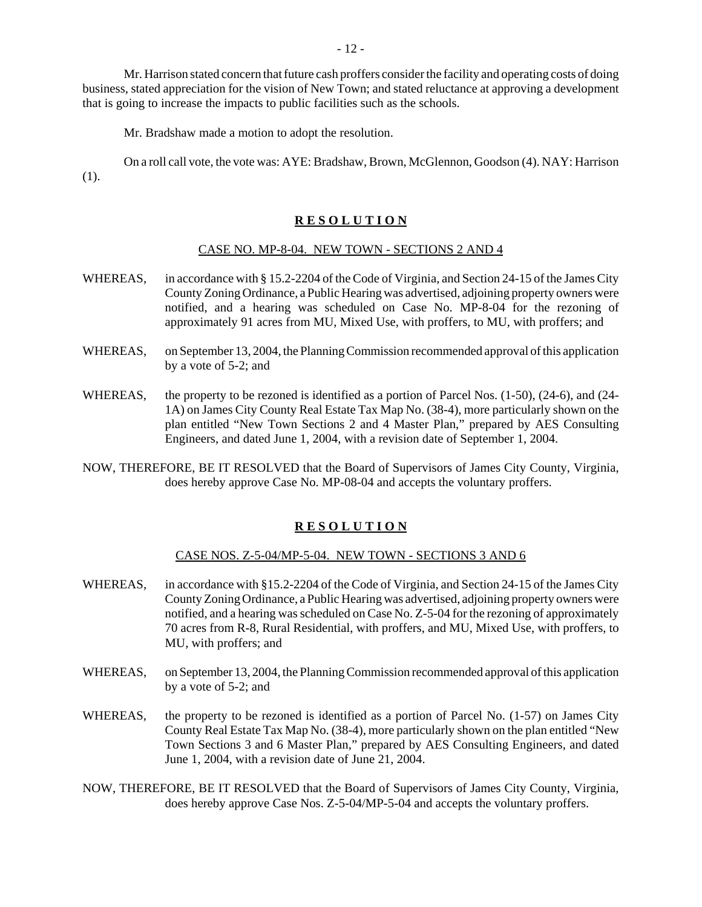Mr. Harrison stated concern that future cash proffers consider the facility and operating costs of doing business, stated appreciation for the vision of New Town; and stated reluctance at approving a development that is going to increase the impacts to public facilities such as the schools.

Mr. Bradshaw made a motion to adopt the resolution.

On a roll call vote, the vote was: AYE: Bradshaw, Brown, McGlennon, Goodson (4). NAY: Harrison (1).

#### **R E S O L U T I O N**

#### CASE NO. MP-8-04. NEW TOWN - SECTIONS 2 AND 4

- WHEREAS, in accordance with § 15.2-2204 of the Code of Virginia, and Section 24-15 of the James City County Zoning Ordinance, a Public Hearing was advertised, adjoining property owners were notified, and a hearing was scheduled on Case No. MP-8-04 for the rezoning of approximately 91 acres from MU, Mixed Use, with proffers, to MU, with proffers; and
- WHEREAS, on September 13, 2004, the Planning Commission recommended approval of this application by a vote of 5-2; and
- WHEREAS, the property to be rezoned is identified as a portion of Parcel Nos. (1-50), (24-6), and (24-1A) on James City County Real Estate Tax Map No. (38-4), more particularly shown on the plan entitled "New Town Sections 2 and 4 Master Plan," prepared by AES Consulting Engineers, and dated June 1, 2004, with a revision date of September 1, 2004.
- NOW, THEREFORE, BE IT RESOLVED that the Board of Supervisors of James City County, Virginia, does hereby approve Case No. MP-08-04 and accepts the voluntary proffers.

#### **R E S O L U T I O N**

#### CASE NOS. Z-5-04/MP-5-04. NEW TOWN - SECTIONS 3 AND 6

- WHEREAS, in accordance with §15.2-2204 of the Code of Virginia, and Section 24-15 of the James City County Zoning Ordinance, a Public Hearing was advertised, adjoining property owners were notified, and a hearing was scheduled on Case No. Z-5-04 for the rezoning of approximately 70 acres from R-8, Rural Residential, with proffers, and MU, Mixed Use, with proffers, to MU, with proffers; and
- WHEREAS, on September 13, 2004, the Planning Commission recommended approval of this application by a vote of 5-2; and
- WHEREAS, the property to be rezoned is identified as a portion of Parcel No. (1-57) on James City County Real Estate Tax Map No. (38-4), more particularly shown on the plan entitled "New Town Sections 3 and 6 Master Plan," prepared by AES Consulting Engineers, and dated June 1, 2004, with a revision date of June 21, 2004.
- NOW, THEREFORE, BE IT RESOLVED that the Board of Supervisors of James City County, Virginia, does hereby approve Case Nos. Z-5-04/MP-5-04 and accepts the voluntary proffers.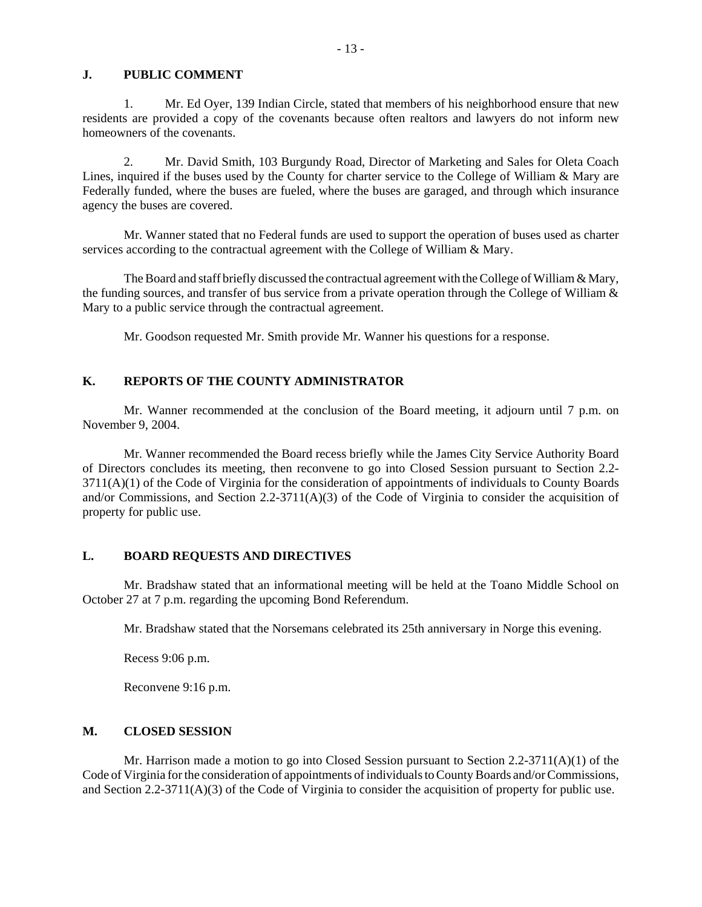#### **J. PUBLIC COMMENT**

1. Mr. Ed Oyer, 139 Indian Circle, stated that members of his neighborhood ensure that new residents are provided a copy of the covenants because often realtors and lawyers do not inform new homeowners of the covenants.

2. Mr. David Smith, 103 Burgundy Road, Director of Marketing and Sales for Oleta Coach Lines, inquired if the buses used by the County for charter service to the College of William & Mary are Federally funded, where the buses are fueled, where the buses are garaged, and through which insurance agency the buses are covered.

Mr. Wanner stated that no Federal funds are used to support the operation of buses used as charter services according to the contractual agreement with the College of William & Mary.

The Board and staff briefly discussed the contractual agreement with the College of William  $\&$  Mary, the funding sources, and transfer of bus service from a private operation through the College of William  $\&$ Mary to a public service through the contractual agreement.

Mr. Goodson requested Mr. Smith provide Mr. Wanner his questions for a response.

#### **K. REPORTS OF THE COUNTY ADMINISTRATOR**

Mr. Wanner recommended at the conclusion of the Board meeting, it adjourn until 7 p.m. on November 9, 2004.

Mr. Wanner recommended the Board recess briefly while the James City Service Authority Board of Directors concludes its meeting, then reconvene to go into Closed Session pursuant to Section 2.2- 3711(A)(1) of the Code of Virginia for the consideration of appointments of individuals to County Boards and/or Commissions, and Section 2.2-3711(A)(3) of the Code of Virginia to consider the acquisition of property for public use.

#### **L. BOARD REQUESTS AND DIRECTIVES**

Mr. Bradshaw stated that an informational meeting will be held at the Toano Middle School on October 27 at 7 p.m. regarding the upcoming Bond Referendum.

Mr. Bradshaw stated that the Norsemans celebrated its 25th anniversary in Norge this evening.

Recess 9:06 p.m.

Reconvene 9:16 p.m.

# **M. CLOSED SESSION**

Mr. Harrison made a motion to go into Closed Session pursuant to Section  $2.2\n-3711(A)(1)$  of the Code of Virginia for the consideration of appointments of individuals to County Boards and/or Commissions, and Section 2.2-3711(A)(3) of the Code of Virginia to consider the acquisition of property for public use.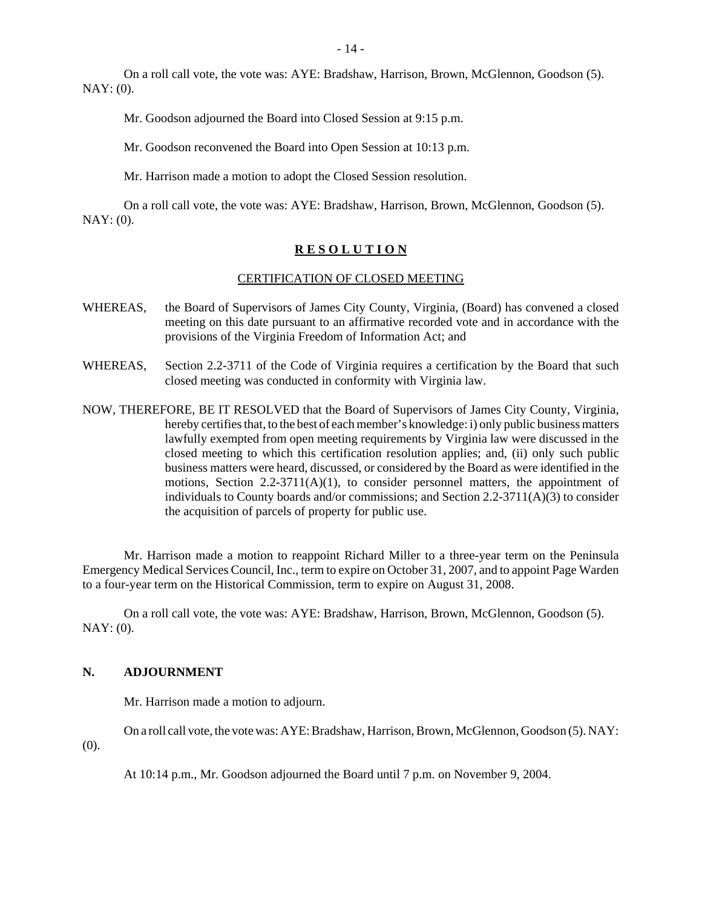On a roll call vote, the vote was: AYE: Bradshaw, Harrison, Brown, McGlennon, Goodson (5). NAY: (0).

Mr. Goodson adjourned the Board into Closed Session at 9:15 p.m.

Mr. Goodson reconvened the Board into Open Session at 10:13 p.m.

Mr. Harrison made a motion to adopt the Closed Session resolution.

On a roll call vote, the vote was: AYE: Bradshaw, Harrison, Brown, McGlennon, Goodson (5). NAY: (0).

#### **R E S O L U T I O N**

#### CERTIFICATION OF CLOSED MEETING

- WHEREAS, the Board of Supervisors of James City County, Virginia, (Board) has convened a closed meeting on this date pursuant to an affirmative recorded vote and in accordance with the provisions of the Virginia Freedom of Information Act; and
- WHEREAS, Section 2.2-3711 of the Code of Virginia requires a certification by the Board that such closed meeting was conducted in conformity with Virginia law.
- NOW, THEREFORE, BE IT RESOLVED that the Board of Supervisors of James City County, Virginia, hereby certifies that, to the best of each member's knowledge: i) only public business matters lawfully exempted from open meeting requirements by Virginia law were discussed in the closed meeting to which this certification resolution applies; and, (ii) only such public business matters were heard, discussed, or considered by the Board as were identified in the motions, Section 2.2-3711(A)(1), to consider personnel matters, the appointment of individuals to County boards and/or commissions; and Section  $2.2\n-3711(A)(3)$  to consider the acquisition of parcels of property for public use.

Mr. Harrison made a motion to reappoint Richard Miller to a three-year term on the Peninsula Emergency Medical Services Council, Inc., term to expire on October 31, 2007, and to appoint Page Warden to a four-year term on the Historical Commission, term to expire on August 31, 2008.

On a roll call vote, the vote was: AYE: Bradshaw, Harrison, Brown, McGlennon, Goodson (5). NAY: (0).

#### **N. ADJOURNMENT**

Mr. Harrison made a motion to adjourn.

On a roll call vote, the vote was: AYE: Bradshaw, Harrison, Brown, McGlennon, Goodson (5). NAY:

(0).

At 10:14 p.m., Mr. Goodson adjourned the Board until 7 p.m. on November 9, 2004.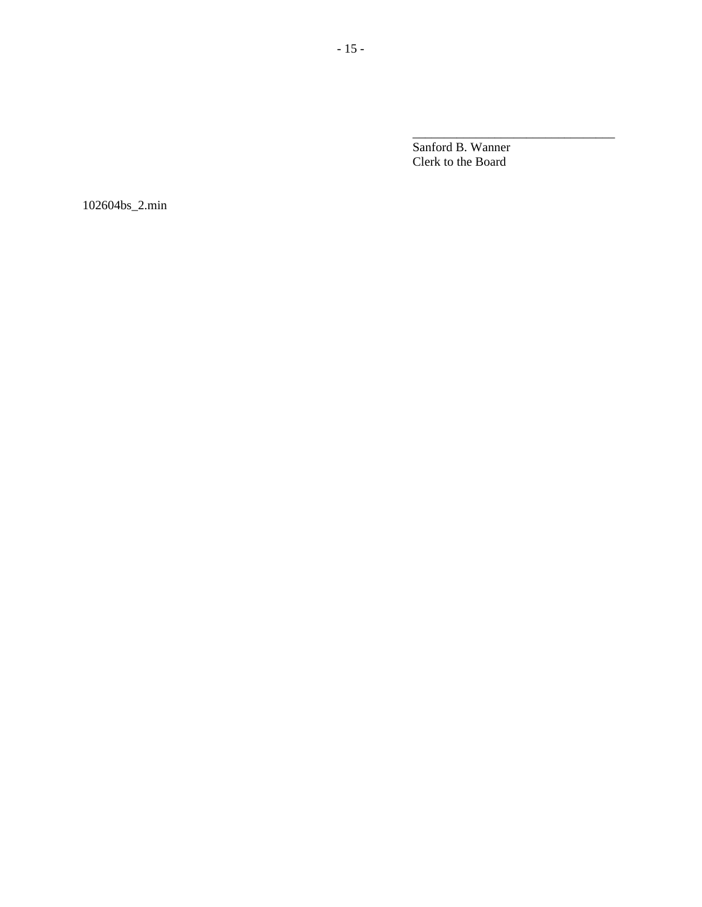Sanford B. Wanner Clerk to the Board

\_\_\_\_\_\_\_\_\_\_\_\_\_\_\_\_\_\_\_\_\_\_\_\_\_\_\_\_\_\_\_\_

102604bs\_2.min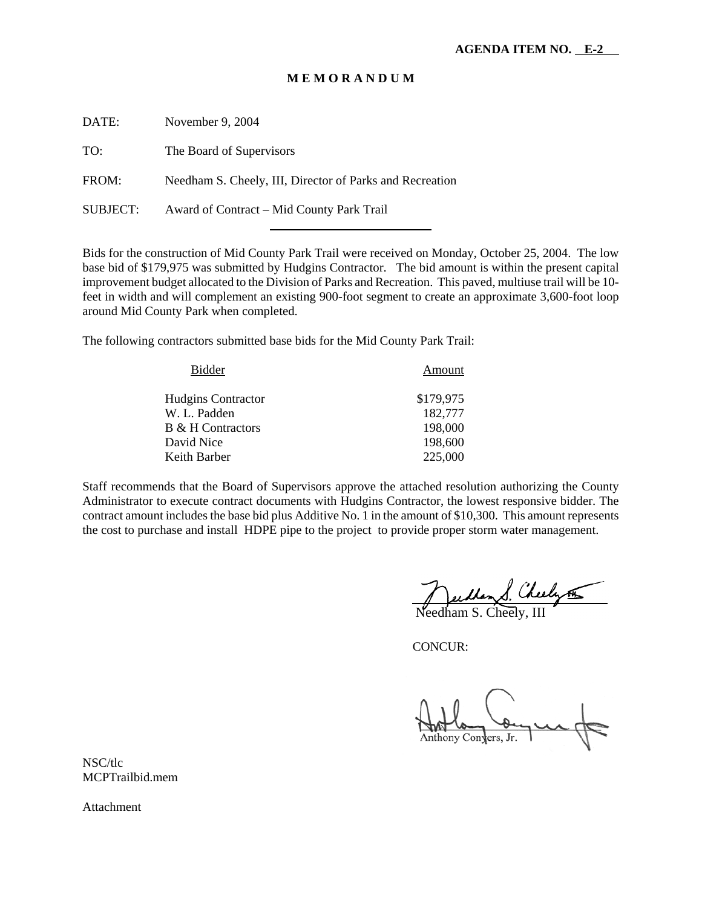#### **M E M O R A N D U M**

| DATE:    | November 9, 2004                                         |
|----------|----------------------------------------------------------|
| TO:      | The Board of Supervisors                                 |
| FROM:    | Needham S. Cheely, III, Director of Parks and Recreation |
| SUBJECT: | Award of Contract – Mid County Park Trail                |

l

Bids for the construction of Mid County Park Trail were received on Monday, October 25, 2004. The low base bid of \$179,975 was submitted by Hudgins Contractor. The bid amount is within the present capital improvement budget allocated to the Division of Parks and Recreation. This paved, multiuse trail will be 10 feet in width and will complement an existing 900-foot segment to create an approximate 3,600-foot loop around Mid County Park when completed.

The following contractors submitted base bids for the Mid County Park Trail:

| Amount    |
|-----------|
| \$179,975 |
| 182,777   |
| 198,000   |
| 198,600   |
| 225,000   |
|           |

Staff recommends that the Board of Supervisors approve the attached resolution authorizing the County Administrator to execute contract documents with Hudgins Contractor, the lowest responsive bidder. The contract amount includes the base bid plus Additive No. 1 in the amount of \$10,300. This amount represents the cost to purchase and install HDPE pipe to the project to provide proper storm water management.

<u>Needlan S. Cheely 55</u>

CONCUR:

Anthony Convers, Jr.

NSC/tlc MCPTrailbid.mem

Attachment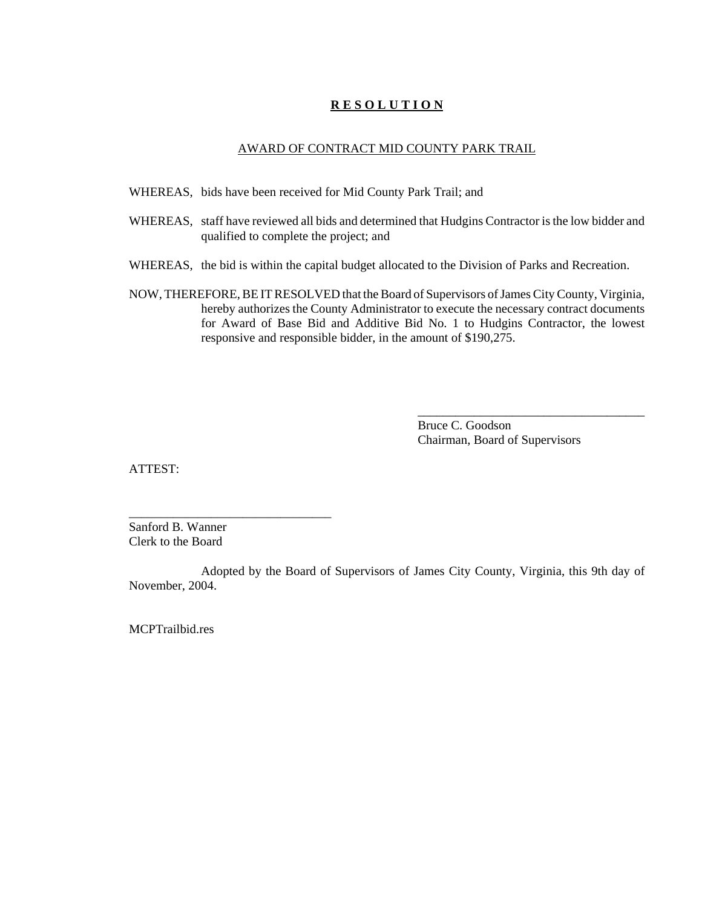# **R E S O L U T I O N**

#### AWARD OF CONTRACT MID COUNTY PARK TRAIL

- WHEREAS, bids have been received for Mid County Park Trail; and
- WHEREAS, staff have reviewed all bids and determined that Hudgins Contractor is the low bidder and qualified to complete the project; and
- WHEREAS, the bid is within the capital budget allocated to the Division of Parks and Recreation.
- NOW, THEREFORE, BE IT RESOLVED that the Board of Supervisors of James City County, Virginia, hereby authorizes the County Administrator to execute the necessary contract documents for Award of Base Bid and Additive Bid No. 1 to Hudgins Contractor, the lowest responsive and responsible bidder, in the amount of \$190,275.

Bruce C. Goodson Chairman, Board of Supervisors

\_\_\_\_\_\_\_\_\_\_\_\_\_\_\_\_\_\_\_\_\_\_\_\_\_\_\_\_\_\_\_\_\_\_\_\_

ATTEST:

Sanford B. Wanner Clerk to the Board

\_\_\_\_\_\_\_\_\_\_\_\_\_\_\_\_\_\_\_\_\_\_\_\_\_\_\_\_\_\_\_\_

Adopted by the Board of Supervisors of James City County, Virginia, this 9th day of November, 2004.

MCPTrailbid.res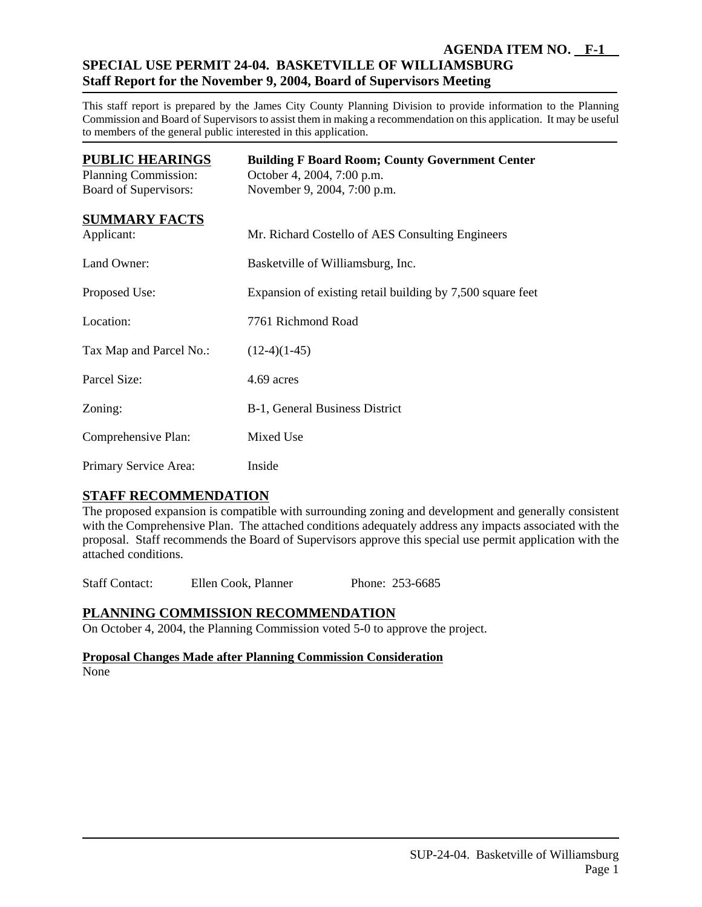# **AGENDA ITEM NO. F-1 SPECIAL USE PERMIT 24-04. BASKETVILLE OF WILLIAMSBURG Staff Report for the November 9, 2004, Board of Supervisors Meeting**

This staff report is prepared by the James City County Planning Division to provide information to the Planning Commission and Board of Supervisors to assist them in making a recommendation on this application. It may be useful to members of the general public interested in this application.

| <b>PUBLIC HEARINGS</b><br>Planning Commission:<br>Board of Supervisors: | <b>Building F Board Room; County Government Center</b><br>October 4, 2004, 7:00 p.m.<br>November 9, 2004, 7:00 p.m. |
|-------------------------------------------------------------------------|---------------------------------------------------------------------------------------------------------------------|
| <b>SUMMARY FACTS</b><br>Applicant:                                      | Mr. Richard Costello of AES Consulting Engineers                                                                    |
| Land Owner:                                                             | Basketville of Williamsburg, Inc.                                                                                   |
| Proposed Use:                                                           | Expansion of existing retail building by 7,500 square feet                                                          |
| Location:                                                               | 7761 Richmond Road                                                                                                  |
| Tax Map and Parcel No.:                                                 | $(12-4)(1-45)$                                                                                                      |
| Parcel Size:                                                            | 4.69 acres                                                                                                          |
| Zoning:                                                                 | B-1, General Business District                                                                                      |
| Comprehensive Plan:                                                     | Mixed Use                                                                                                           |
| Primary Service Area:                                                   | Inside                                                                                                              |

# **STAFF RECOMMENDATION**

The proposed expansion is compatible with surrounding zoning and development and generally consistent with the Comprehensive Plan. The attached conditions adequately address any impacts associated with the proposal. Staff recommends the Board of Supervisors approve this special use permit application with the attached conditions.

Staff Contact: Ellen Cook, Planner Phone: 253-6685

# **PLANNING COMMISSION RECOMMENDATION**

On October 4, 2004, the Planning Commission voted 5-0 to approve the project.

# **Proposal Changes Made after Planning Commission Consideration**

None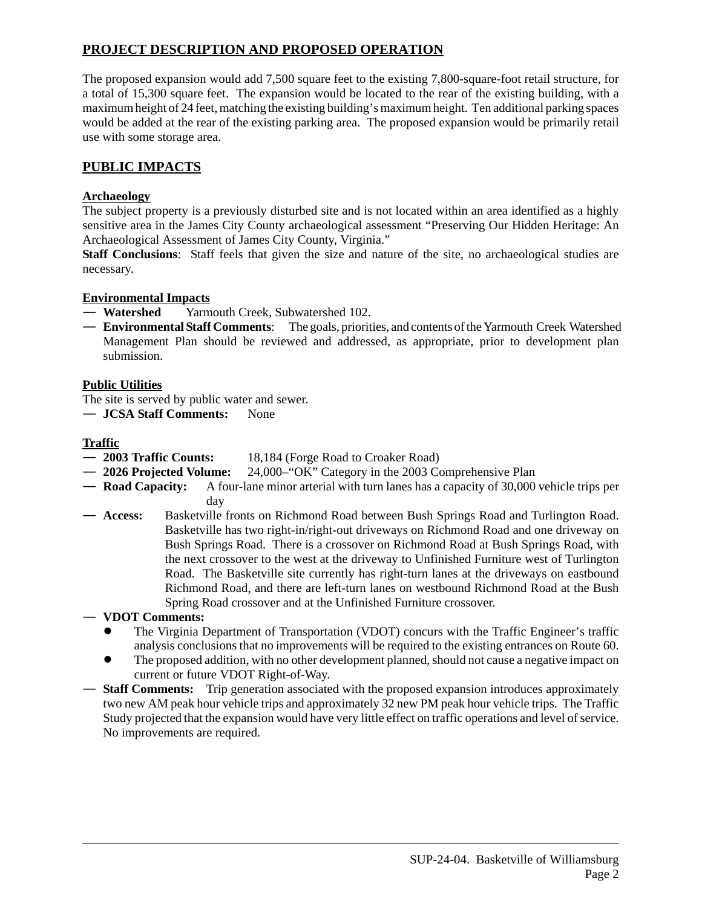# **PROJECT DESCRIPTION AND PROPOSED OPERATION**

The proposed expansion would add 7,500 square feet to the existing 7,800-square-foot retail structure, for a total of 15,300 square feet. The expansion would be located to the rear of the existing building, with a maximum height of 24 feet, matching the existing building's maximum height. Ten additional parking spaces would be added at the rear of the existing parking area. The proposed expansion would be primarily retail use with some storage area.

# **PUBLIC IMPACTS**

# **Archaeology**

The subject property is a previously disturbed site and is not located within an area identified as a highly sensitive area in the James City County archaeological assessment "Preserving Our Hidden Heritage: An Archaeological Assessment of James City County, Virginia."

**Staff Conclusions**: Staff feels that given the size and nature of the site, no archaeological studies are necessary.

# **Environmental Impacts**

— **Watershed** Yarmouth Creek, Subwatershed 102.

— **Environmental Staff Comments**: The goals, priorities, and contents of the Yarmouth Creek Watershed Management Plan should be reviewed and addressed, as appropriate, prior to development plan submission.

# **Public Utilities**

The site is served by public water and sewer.

— **JCSA Staff Comments:** None

# **Traffic**

- **2003 Traffic Counts:** 18,184 (Forge Road to Croaker Road)
- **2026 Projected Volume:** 24,000–"OK" Category in the 2003 Comprehensive Plan
- **Road Capacity:** A four-lane minor arterial with turn lanes has a capacity of 30,000 vehicle trips per day
- **Access:** Basketville fronts on Richmond Road between Bush Springs Road and Turlington Road. Basketville has two right-in/right-out driveways on Richmond Road and one driveway on Bush Springs Road. There is a crossover on Richmond Road at Bush Springs Road, with the next crossover to the west at the driveway to Unfinished Furniture west of Turlington Road. The Basketville site currently has right-turn lanes at the driveways on eastbound Richmond Road, and there are left-turn lanes on westbound Richmond Road at the Bush Spring Road crossover and at the Unfinished Furniture crossover.

# — **VDOT Comments:**

- ! The Virginia Department of Transportation (VDOT) concurs with the Traffic Engineer's traffic analysis conclusions that no improvements will be required to the existing entrances on Route 60.
- The proposed addition, with no other development planned, should not cause a negative impact on current or future VDOT Right-of-Way.
- **Staff Comments:** Trip generation associated with the proposed expansion introduces approximately two new AM peak hour vehicle trips and approximately 32 new PM peak hour vehicle trips. The Traffic Study projected that the expansion would have very little effect on traffic operations and level of service. No improvements are required.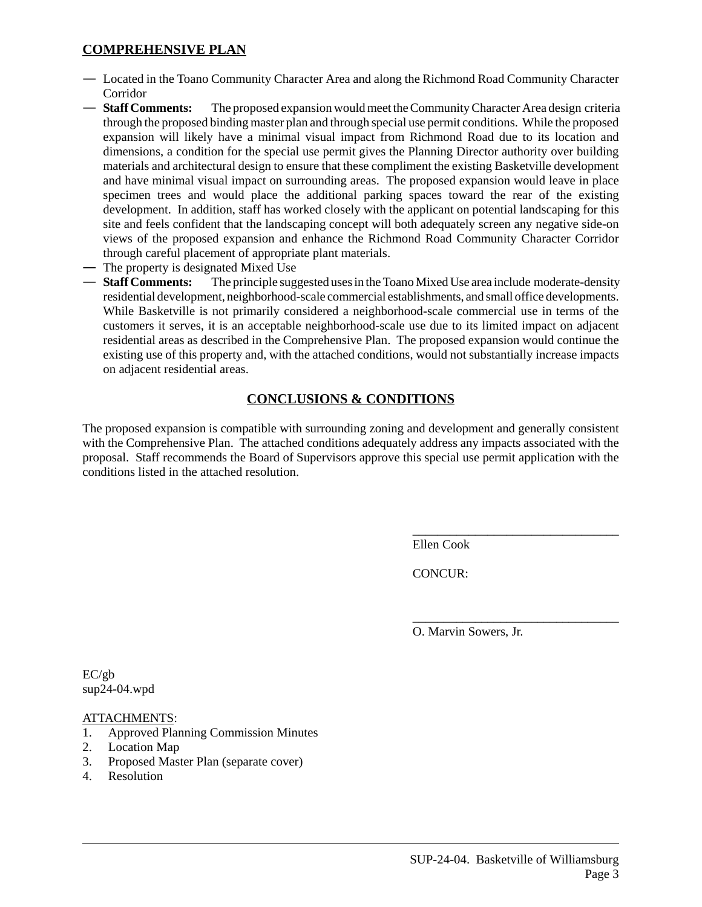# **COMPREHENSIVE PLAN**

- Located in the Toano Community Character Area and along the Richmond Road Community Character Corridor
- **Staff Comments:** The proposed expansion would meet the Community Character Area design criteria through the proposed binding master plan and through special use permit conditions. While the proposed expansion will likely have a minimal visual impact from Richmond Road due to its location and dimensions, a condition for the special use permit gives the Planning Director authority over building materials and architectural design to ensure that these compliment the existing Basketville development and have minimal visual impact on surrounding areas. The proposed expansion would leave in place specimen trees and would place the additional parking spaces toward the rear of the existing development. In addition, staff has worked closely with the applicant on potential landscaping for this site and feels confident that the landscaping concept will both adequately screen any negative side-on views of the proposed expansion and enhance the Richmond Road Community Character Corridor through careful placement of appropriate plant materials.
- The property is designated Mixed Use
- **Staff Comments:** The principle suggested uses in the Toano Mixed Use area include moderate-density residential development, neighborhood-scale commercial establishments, and small office developments. While Basketville is not primarily considered a neighborhood-scale commercial use in terms of the customers it serves, it is an acceptable neighborhood-scale use due to its limited impact on adjacent residential areas as described in the Comprehensive Plan. The proposed expansion would continue the existing use of this property and, with the attached conditions, would not substantially increase impacts on adjacent residential areas.

# **CONCLUSIONS & CONDITIONS**

The proposed expansion is compatible with surrounding zoning and development and generally consistent with the Comprehensive Plan. The attached conditions adequately address any impacts associated with the proposal. Staff recommends the Board of Supervisors approve this special use permit application with the conditions listed in the attached resolution.

Ellen Cook

CONCUR:

O. Marvin Sowers, Jr.

\_\_\_\_\_\_\_\_\_\_\_\_\_\_\_\_\_\_\_\_\_\_\_\_\_\_\_\_\_\_\_\_\_

\_\_\_\_\_\_\_\_\_\_\_\_\_\_\_\_\_\_\_\_\_\_\_\_\_\_\_\_\_\_\_\_\_

EC/gb sup24-04.wpd

ATTACHMENTS:

- 1. Approved Planning Commission Minutes
- 2. Location Map
- 3. Proposed Master Plan (separate cover)
- 4. Resolution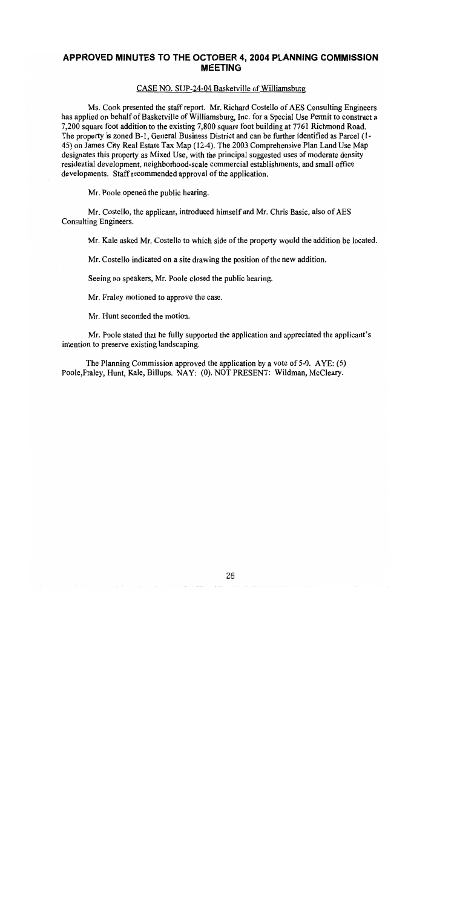# APPROVED MINUTES TO THE OCTOBER 4, 2004 PLANNING COMMISSION **MEETING**

#### CASE NO. SUP-24-04 Basketville of Williamsburg

Ms. Cook presented the staff report. Mr. Richard Costello of AES Consulting Engineers has applied on behalf of Basketville of Williamsburg, Inc. for a Special Use Permit to construct a 7,200 square foot addition to the existing 7,800 square foot building at 7761 Richmond Road. The property is zoned B-1, General Business District and can be further identified as Parcel (1-45) on James City Real Estate Tax Map (12-4). The 2003 Comprehensive Plan Land Use Map designates this property as Mixed Use, with the principal suggested uses of moderate density residential development, neighborhood-scale commercial establishments, and small office developments. Staff recommended approval of the application.

Mr. Poole opened the public hearing.

Mr. Costello, the applicant, introduced himself and Mr. Chris Basic, also of AES Consulting Engineers.

Mr. Kale asked Mr. Costello to which side of the property would the addition be located.

Mr. Costello indicated on a site drawing the position of the new addition.

Seeing no speakers, Mr. Poole closed the public hearing.

Mr. Fraley motioned to approve the case.

Mr. Hunt seconded the motion.

Mr. Poole stated that he fully supported the application and appreciated the applicant's intention to preserve existing landscaping.

The Planning Commission approved the application by a vote of 5-0. AYE: (5) Poole, Fraley, Hunt, Kale, Billups. NAY: (0). NOT PRESENT: Wildman, McCleary.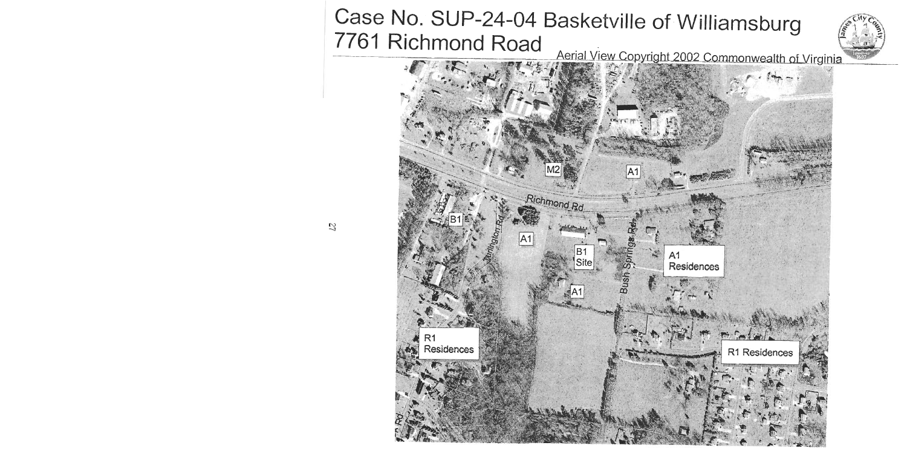# Case No. SUP-24-04 Basketville of Williamsburg 7761 Richmond Road



Aerial View Copyright 2002 Commonwealth of Virginia

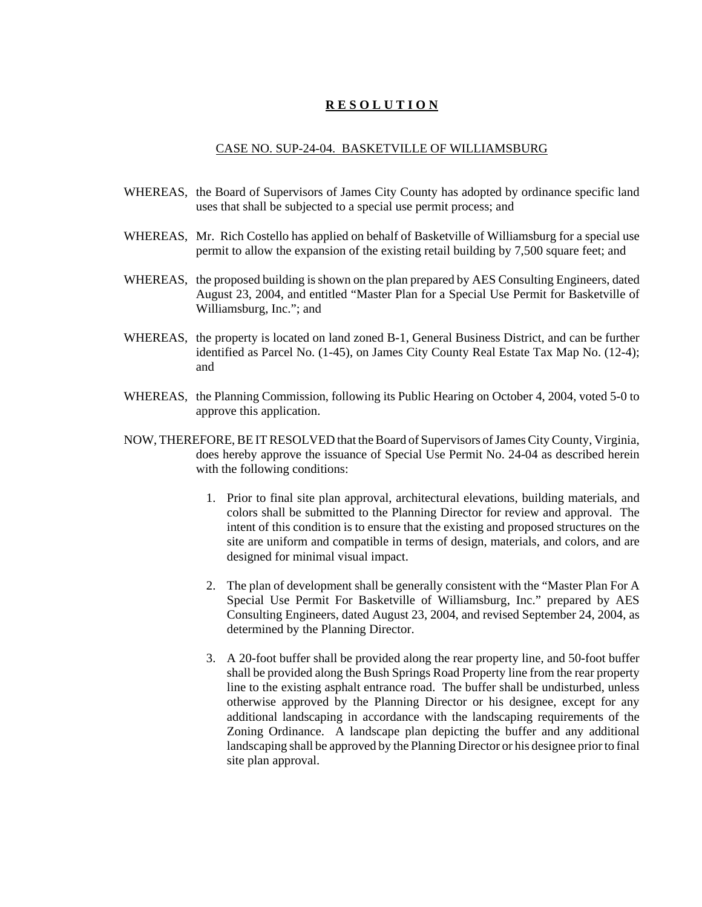#### **R E S O L U T I O N**

#### CASE NO. SUP-24-04. BASKETVILLE OF WILLIAMSBURG

- WHEREAS, the Board of Supervisors of James City County has adopted by ordinance specific land uses that shall be subjected to a special use permit process; and
- WHEREAS, Mr. Rich Costello has applied on behalf of Basketville of Williamsburg for a special use permit to allow the expansion of the existing retail building by 7,500 square feet; and
- WHEREAS, the proposed building is shown on the plan prepared by AES Consulting Engineers, dated August 23, 2004, and entitled "Master Plan for a Special Use Permit for Basketville of Williamsburg, Inc."; and
- WHEREAS, the property is located on land zoned B-1, General Business District, and can be further identified as Parcel No. (1-45), on James City County Real Estate Tax Map No. (12-4); and
- WHEREAS, the Planning Commission, following its Public Hearing on October 4, 2004, voted 5-0 to approve this application.
- NOW, THEREFORE, BE IT RESOLVED that the Board of Supervisors of James City County, Virginia, does hereby approve the issuance of Special Use Permit No. 24-04 as described herein with the following conditions:
	- 1. Prior to final site plan approval, architectural elevations, building materials, and colors shall be submitted to the Planning Director for review and approval. The intent of this condition is to ensure that the existing and proposed structures on the site are uniform and compatible in terms of design, materials, and colors, and are designed for minimal visual impact.
	- 2. The plan of development shall be generally consistent with the "Master Plan For A Special Use Permit For Basketville of Williamsburg, Inc." prepared by AES Consulting Engineers, dated August 23, 2004, and revised September 24, 2004, as determined by the Planning Director.
	- 3. A 20-foot buffer shall be provided along the rear property line, and 50-foot buffer shall be provided along the Bush Springs Road Property line from the rear property line to the existing asphalt entrance road. The buffer shall be undisturbed, unless otherwise approved by the Planning Director or his designee, except for any additional landscaping in accordance with the landscaping requirements of the Zoning Ordinance. A landscape plan depicting the buffer and any additional landscaping shall be approved by the Planning Director or his designee prior to final site plan approval.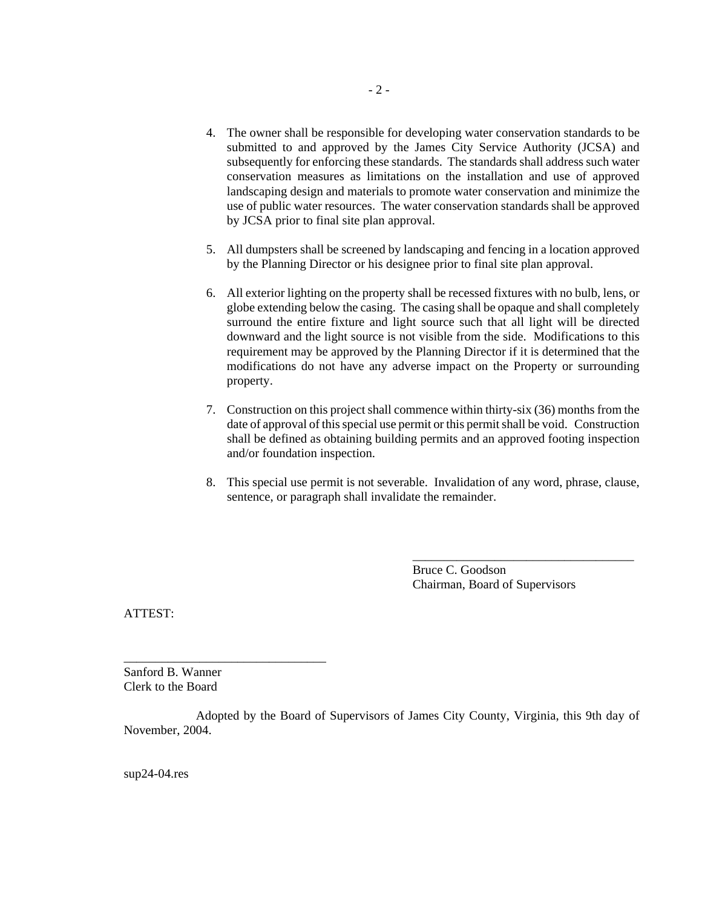- 4. The owner shall be responsible for developing water conservation standards to be submitted to and approved by the James City Service Authority (JCSA) and subsequently for enforcing these standards. The standards shall address such water conservation measures as limitations on the installation and use of approved landscaping design and materials to promote water conservation and minimize the use of public water resources. The water conservation standards shall be approved by JCSA prior to final site plan approval.
- 5. All dumpsters shall be screened by landscaping and fencing in a location approved by the Planning Director or his designee prior to final site plan approval.
- 6. All exterior lighting on the property shall be recessed fixtures with no bulb, lens, or globe extending below the casing. The casing shall be opaque and shall completely surround the entire fixture and light source such that all light will be directed downward and the light source is not visible from the side. Modifications to this requirement may be approved by the Planning Director if it is determined that the modifications do not have any adverse impact on the Property or surrounding property.
- 7. Construction on this project shall commence within thirty-six (36) months from the date of approval of this special use permit or this permit shall be void. Construction shall be defined as obtaining building permits and an approved footing inspection and/or foundation inspection.
- 8. This special use permit is not severable. Invalidation of any word, phrase, clause, sentence, or paragraph shall invalidate the remainder.

Bruce C. Goodson Chairman, Board of Supervisors

\_\_\_\_\_\_\_\_\_\_\_\_\_\_\_\_\_\_\_\_\_\_\_\_\_\_\_\_\_\_\_\_\_\_\_

ATTEST:

Sanford B. Wanner Clerk to the Board

\_\_\_\_\_\_\_\_\_\_\_\_\_\_\_\_\_\_\_\_\_\_\_\_\_\_\_\_\_\_\_\_

Adopted by the Board of Supervisors of James City County, Virginia, this 9th day of November, 2004.

sup24-04.res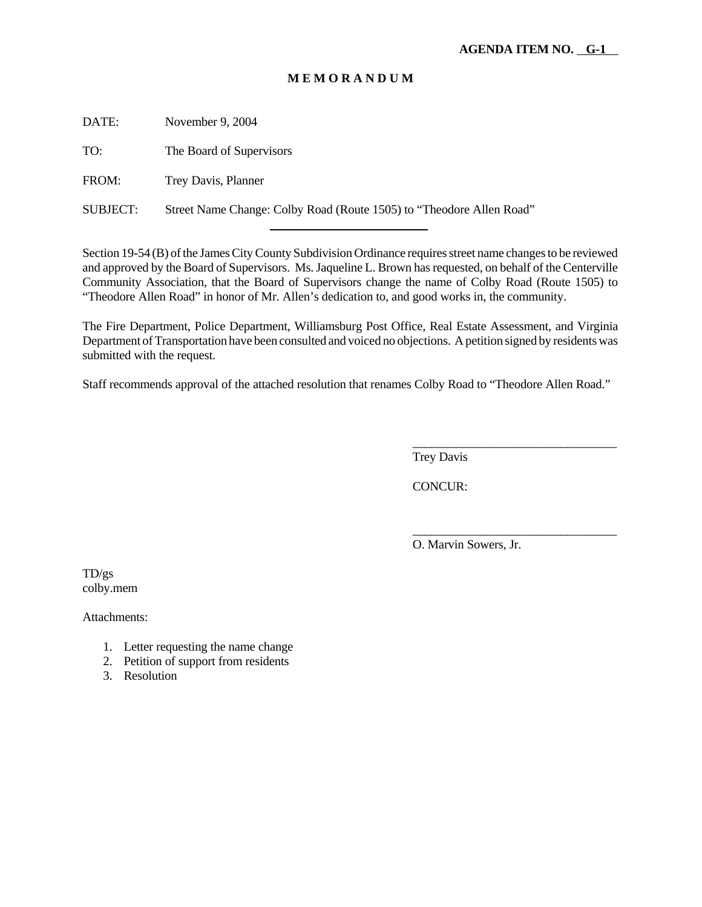# **M E M O R A N D U M**

DATE: November 9, 2004

TO: The Board of Supervisors

FROM: Trey Davis, Planner

SUBJECT: Street Name Change: Colby Road (Route 1505) to "Theodore Allen Road"

l

Section 19-54 (B) of the James City County Subdivision Ordinance requires street name changes to be reviewed and approved by the Board of Supervisors. Ms. Jaqueline L. Brown has requested, on behalf of the Centerville Community Association, that the Board of Supervisors change the name of Colby Road (Route 1505) to "Theodore Allen Road" in honor of Mr. Allen's dedication to, and good works in, the community.

The Fire Department, Police Department, Williamsburg Post Office, Real Estate Assessment, and Virginia Department of Transportation have been consulted and voiced no objections. A petition signed by residents was submitted with the request.

Staff recommends approval of the attached resolution that renames Colby Road to "Theodore Allen Road."

Trey Davis

CONCUR:

O. Marvin Sowers, Jr.

\_\_\_\_\_\_\_\_\_\_\_\_\_\_\_\_\_\_\_\_\_\_\_\_\_\_\_\_\_\_\_\_\_

\_\_\_\_\_\_\_\_\_\_\_\_\_\_\_\_\_\_\_\_\_\_\_\_\_\_\_\_\_\_\_\_\_

TD/gs colby.mem

Attachments:

- 1. Letter requesting the name change
- 2. Petition of support from residents
- 3. Resolution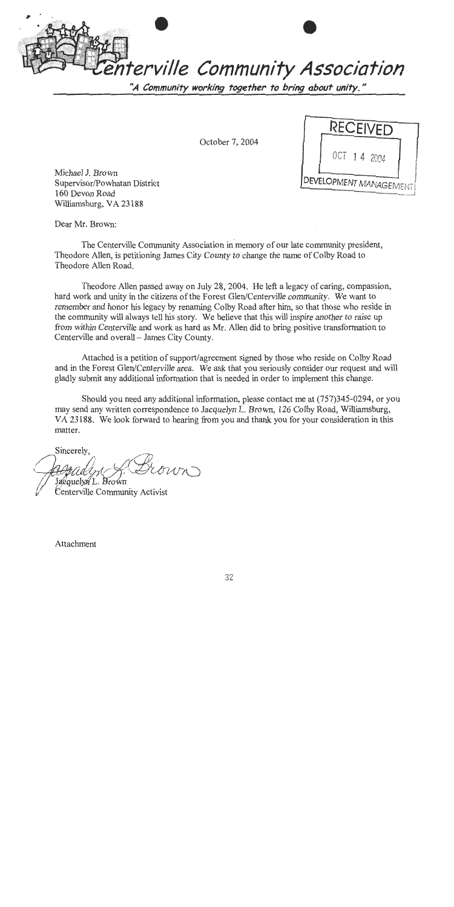terville Community Association

"A Community working together to bring about unity."

October 7, 2004

Michael J. Brown Supervisor/Powhatan District 160 Devon Road Williamsburg, VA 23188

**RECEIVED DEVELOPMENT MANAGEMENT** 

Dear Mr. Brown:

The Centerville Community Association in memory of our late community president, Theodore Allen, is petitioning James City County to change the name of Colby Road to Theodore Allen Road.

Theodore Allen passed away on July 28, 2004. He left a legacy of caring, compassion, hard work and unity in the citizens of the Forest Glen/Centerville community. We want to remember and honor his legacy by renaming Colby Road after him, so that those who reside in the community will always tell his story. We believe that this will inspire another to raise up from within Centerville and work as hard as Mr. Allen did to bring positive transformation to Centerville and overall - James City County.

Attached is a petition of support/agreement signed by those who reside on Colby Road and in the Forest Glen/Centerville area. We ask that you seriously consider our request and will gladly submit any additional information that is needed in order to implement this change.

Should you need any additional information, please contact me at (757)345-0294, or you may send any written correspondence to Jacquelyn L. Brown, 126 Colby Road, Williamsburg, VA 23188. We look forward to hearing from you and thank you for your consideration in this matter.

Sincerely, Jacquelyn L. Brown

Centerville Community Activist

Attachment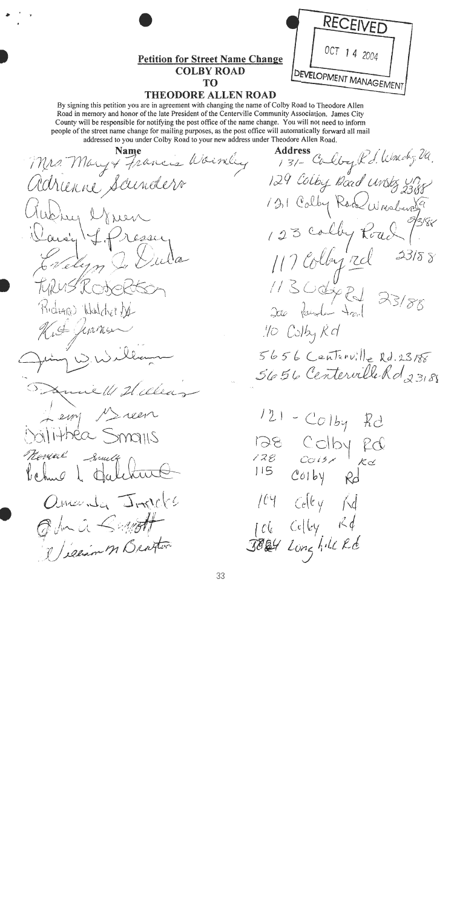

# **THEODORE ALLEN ROAD**

By signing this petition you are in agreement with changing the name of Colby Road to Theodore Allen Road in memory and honor of the late President of the Centerville Community Association. James City County will be responsible for notifying the post office of the name change. You will not need to inform people of the street name change for mailing purposes, as the post office will automatically forward all mail addressed to you under Colby Road to your new address under Theodore Allen Road.

**Name** Mrs. Mary of Francis Wormley adrienne Sainders Guther ernen Davig J.Presser Evelyn TURUS Rochel Richard Walcher Ne Kit Jeanes Hillen  $ux/11$ Lem Meren MANGO SAMILI Newere South behug & tale Ormanda JAPPES In a Benett elian M Bratter

**Address** 131- Calley Kd. Which, Ul. 129 Colby Road Unstr Un 121 Calby Rod Wrighton 123 Colby Road 2318 8 117 Colleged  $11300$ dy RJ  $23/88$ 200 Parola trail .10 Colby Kd  $5656$  Centerville Rd. 23188 5656 Centerville Rd 23188  $121 - Co1b$ K I 128 Colby

fd

 $\overline{\mathcal{K}}$ c $\preceq$ 

 $Rd$ 

 $R\phi$ 

 $128$ 

 $C$ 01by

 $Ce|ky$ 

JOEY Long hill Rd

 $C_{c}$  $(c_{y}$   $\wedge d$ 

115

 $\mu$ 

 $\int C(\zeta)$